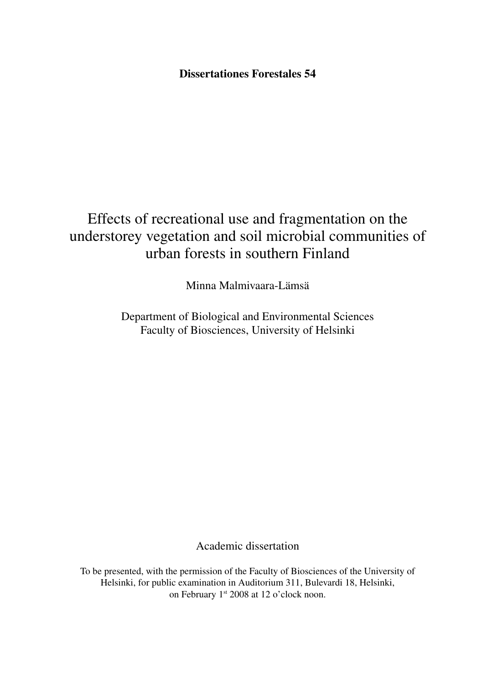**Dissertationes Forestales 54**

# Effects of recreational use and fragmentation on the understorey vegetation and soil microbial communities of urban forests in southern Finland

Minna Malmivaara-Lämsä

Department of Biological and Environmental Sciences Faculty of Biosciences, University of Helsinki

Academic dissertation

To be presented, with the permission of the Faculty of Biosciences of the University of Helsinki, for public examination in Auditorium 311, Bulevardi 18, Helsinki, on February 1<sup>st</sup> 2008 at 12 o'clock noon.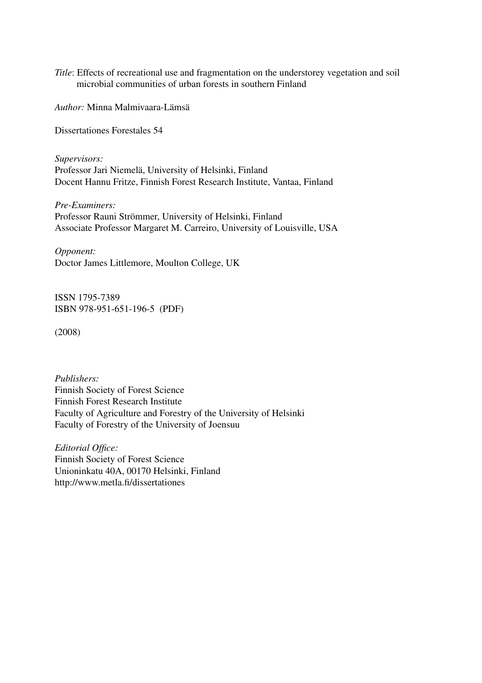*Title*: Effects of recreational use and fragmentation on the understorey vegetation and soil microbial communities of urban forests in southern Finland

*Author:* Minna Malmivaara-Lämsä

Dissertationes Forestales 54

*Supervisors:*  Professor Jari Niemelä, University of Helsinki, Finland Docent Hannu Fritze, Finnish Forest Research Institute, Vantaa, Finland

*Pre-Examiners:*  Professor Rauni Strömmer, University of Helsinki, Finland Associate Professor Margaret M. Carreiro, University of Louisville, USA

*Opponent:* Doctor James Littlemore, Moulton College, UK

ISSN 1795-7389 ISBN 978-951-651-196-5 (PDF)

(2008)

*Publishers:* Finnish Society of Forest Science Finnish Forest Research Institute Faculty of Agriculture and Forestry of the University of Helsinki Faculty of Forestry of the University of Joensuu

*Editorial Office:* Finnish Society of Forest Science Unioninkatu 40A, 00170 Helsinki, Finland http://www.metla.fi/dissertationes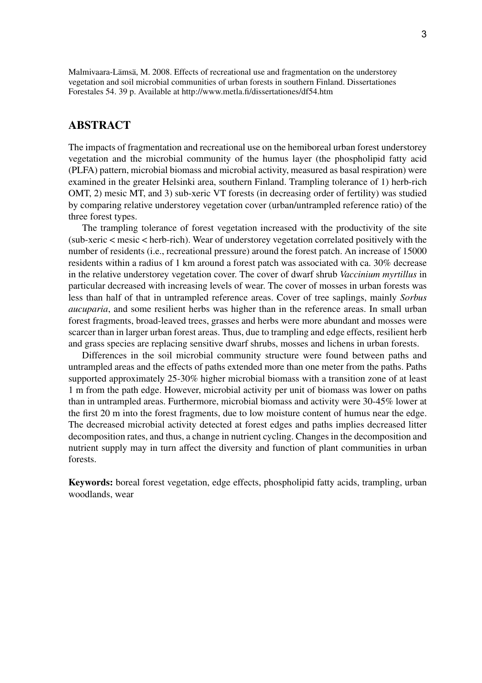Malmivaara-Lämsä, M. 2008. Effects of recreational use and fragmentation on the understorey vegetation and soil microbial communities of urban forests in southern Finland. Dissertationes Forestales 54. 39 p. Available at http://www.metla.fi/dissertationes/df54.htm

# **ABSTRACT**

The impacts of fragmentation and recreational use on the hemiboreal urban forest understorey vegetation and the microbial community of the humus layer (the phospholipid fatty acid (PLFA) pattern, microbial biomass and microbial activity, measured as basal respiration) were examined in the greater Helsinki area, southern Finland. Trampling tolerance of 1) herb-rich OMT, 2) mesic MT, and 3) sub-xeric VT forests (in decreasing order of fertility) was studied by comparing relative understorey vegetation cover (urban/untrampled reference ratio) of the three forest types.

The trampling tolerance of forest vegetation increased with the productivity of the site (sub-xeric < mesic < herb-rich). Wear of understorey vegetation correlated positively with the number of residents (i.e., recreational pressure) around the forest patch. An increase of 15000 residents within a radius of 1 km around a forest patch was associated with ca. 30% decrease in the relative understorey vegetation cover. The cover of dwarf shrub *Vaccinium myrtillus* in particular decreased with increasing levels of wear. The cover of mosses in urban forests was less than half of that in untrampled reference areas. Cover of tree saplings, mainly *Sorbus aucuparia*, and some resilient herbs was higher than in the reference areas. In small urban forest fragments, broad-leaved trees, grasses and herbs were more abundant and mosses were scarcer than in larger urban forest areas. Thus, due to trampling and edge effects, resilient herb and grass species are replacing sensitive dwarf shrubs, mosses and lichens in urban forests.

Differences in the soil microbial community structure were found between paths and untrampled areas and the effects of paths extended more than one meter from the paths. Paths supported approximately 25-30% higher microbial biomass with a transition zone of at least 1 m from the path edge. However, microbial activity per unit of biomass was lower on paths than in untrampled areas. Furthermore, microbial biomass and activity were 30-45% lower at the first 20 m into the forest fragments, due to low moisture content of humus near the edge. The decreased microbial activity detected at forest edges and paths implies decreased litter decomposition rates, and thus, a change in nutrient cycling. Changes in the decomposition and nutrient supply may in turn affect the diversity and function of plant communities in urban forests.

**Keywords:** boreal forest vegetation, edge effects, phospholipid fatty acids, trampling, urban woodlands, wear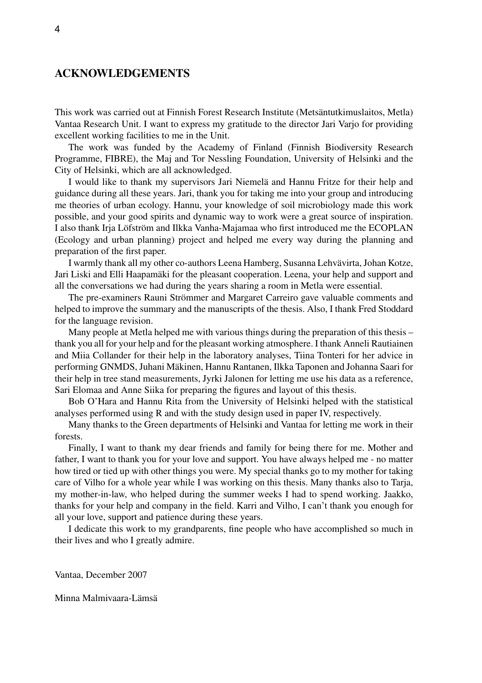# **ACKNOWLEDGEMENTS**

This work was carried out at Finnish Forest Research Institute (Metsäntutkimuslaitos, Metla) Vantaa Research Unit. I want to express my gratitude to the director Jari Varjo for providing excellent working facilities to me in the Unit.

The work was funded by the Academy of Finland (Finnish Biodiversity Research Programme, FIBRE), the Maj and Tor Nessling Foundation, University of Helsinki and the City of Helsinki, which are all acknowledged.

I would like to thank my supervisors Jari Niemelä and Hannu Fritze for their help and guidance during all these years. Jari, thank you for taking me into your group and introducing me theories of urban ecology. Hannu, your knowledge of soil microbiology made this work possible, and your good spirits and dynamic way to work were a great source of inspiration. I also thank Irja Löfström and Ilkka Vanha-Majamaa who first introduced me the ECOPLAN (Ecology and urban planning) project and helped me every way during the planning and preparation of the first paper.

I warmly thank all my other co-authors Leena Hamberg, Susanna Lehvävirta, Johan Kotze, Jari Liski and Elli Haapamäki for the pleasant cooperation. Leena, your help and support and all the conversations we had during the years sharing a room in Metla were essential.

The pre-examiners Rauni Strömmer and Margaret Carreiro gave valuable comments and helped to improve the summary and the manuscripts of the thesis. Also, I thank Fred Stoddard for the language revision.

Many people at Metla helped me with various things during the preparation of this thesis – thank you all for your help and for the pleasant working atmosphere. I thank Anneli Rautiainen and Miia Collander for their help in the laboratory analyses, Tiina Tonteri for her advice in performing GNMDS, Juhani Mäkinen, Hannu Rantanen, Ilkka Taponen and Johanna Saari for their help in tree stand measurements, Jyrki Jalonen for letting me use his data as a reference, Sari Elomaa and Anne Siika for preparing the figures and layout of this thesis.

Bob O'Hara and Hannu Rita from the University of Helsinki helped with the statistical analyses performed using R and with the study design used in paper IV, respectively.

Many thanks to the Green departments of Helsinki and Vantaa for letting me work in their forests.

Finally, I want to thank my dear friends and family for being there for me. Mother and father, I want to thank you for your love and support. You have always helped me - no matter how tired or tied up with other things you were. My special thanks go to my mother for taking care of Vilho for a whole year while I was working on this thesis. Many thanks also to Tarja, my mother-in-law, who helped during the summer weeks I had to spend working. Jaakko, thanks for your help and company in the field. Karri and Vilho, I can't thank you enough for all your love, support and patience during these years.

I dedicate this work to my grandparents, fine people who have accomplished so much in their lives and who I greatly admire.

Vantaa, December 2007

Minna Malmivaara-Lämsä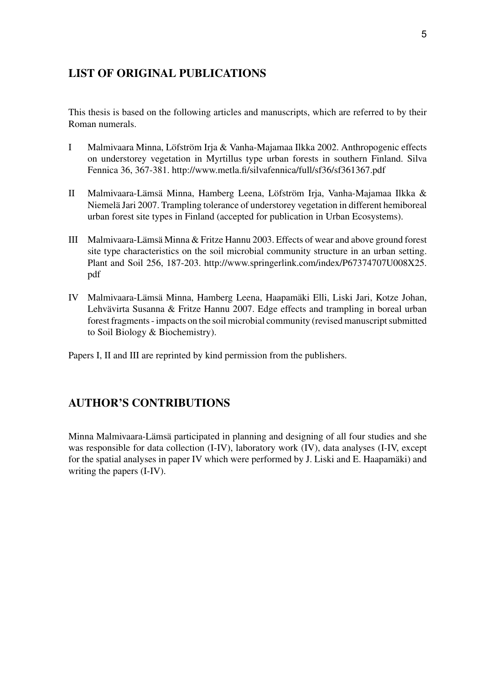# **LIST OF ORIGINAL PUBLICATIONS**

This thesis is based on the following articles and manuscripts, which are referred to by their Roman numerals.

- Malmivaara Minna, Löfström Irja & Vanha-Majamaa Ilkka 2002. Anthropogenic effects on understorey vegetation in Myrtillus type urban forests in southern Finland. Silva Fennica 36, 367-381. http://www.metla.fi/silvafennica/full/sf36/sf361367.pdf I�
- Malmivaara-Lämsä Minna, Hamberg Leena, Löfström Irja, Vanha-Majamaa Ilkka & Niemelä Jari 2007. Trampling tolerance of understorey vegetation in different hemiboreal urban forest site types in Finland (accepted for publication in Urban Ecosystems).  $\mathbf{I}$
- Malmivaara-Lämsä Minna & Fritze Hannu 2003. Effects of wear and above ground forest III� site type characteristics on the soil microbial community structure in an urban setting. Plant and Soil 256, 187-203. http://www.springerlink.com/index/P67374707U008X25. pdf
- IV Malmivaara-Lämsä Minna, Hamberg Leena, Haapamäki Elli, Liski Jari, Kotze Johan, Lehvävirta Susanna & Fritze Hannu 2007. Edge effects and trampling in boreal urban forest fragments - impacts on the soil microbial community (revised manuscript submitted to Soil Biology & Biochemistry).

Papers I, II and III are reprinted by kind permission from the publishers.

# **AUTHOR'S CONTRIBUTIONS**

Minna Malmivaara-Lämsä participated in planning and designing of all four studies and she was responsible for data collection (I-IV), laboratory work (IV), data analyses (I-IV, except for the spatial analyses in paper IV which were performed by J. Liski and E. Haapamäki) and writing the papers (I-IV).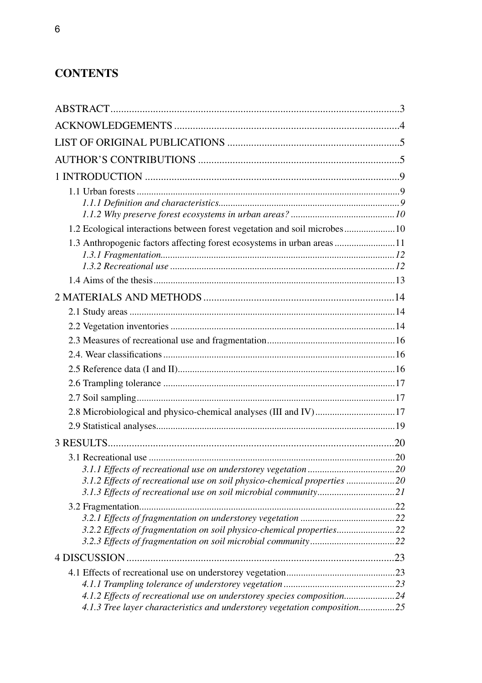# **CONTENTS**

| 1.2 Ecological interactions between forest vegetation and soil microbes 10 |  |
|----------------------------------------------------------------------------|--|
| 1.3 Anthropogenic factors affecting forest ecosystems in urban areas 11    |  |
|                                                                            |  |
|                                                                            |  |
|                                                                            |  |
|                                                                            |  |
|                                                                            |  |
|                                                                            |  |
|                                                                            |  |
|                                                                            |  |
|                                                                            |  |
| 2.8 Microbiological and physico-chemical analyses (III and IV)17           |  |
|                                                                            |  |
|                                                                            |  |
|                                                                            |  |
|                                                                            |  |
| 3.1.2 Effects of recreational use on soil physico-chemical properties 20   |  |
|                                                                            |  |
|                                                                            |  |
| 3.2.2 Effects of fragmentation on soil physico-chemical properties22       |  |
|                                                                            |  |
|                                                                            |  |
|                                                                            |  |
|                                                                            |  |
| 4.1.2 Effects of recreational use on understorey species composition24     |  |
| 4.1.3 Tree layer characteristics and understorey vegetation composition25  |  |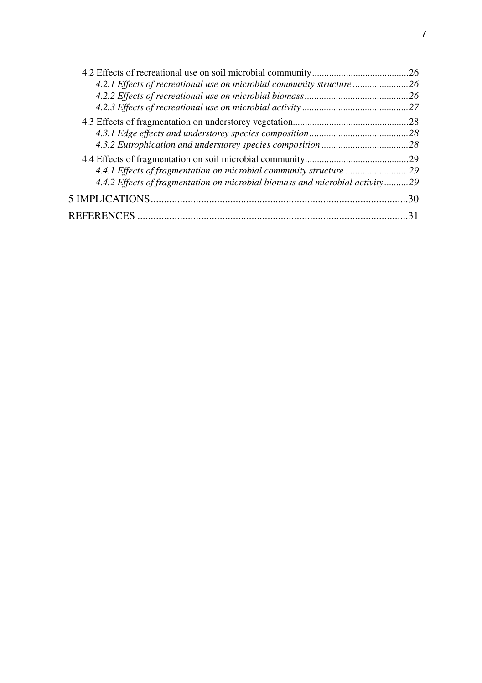| 4.2.1 Effects of recreational use on microbial community structure 26        |  |
|------------------------------------------------------------------------------|--|
|                                                                              |  |
|                                                                              |  |
|                                                                              |  |
|                                                                              |  |
|                                                                              |  |
|                                                                              |  |
| 4.4.1 Effects of fragmentation on microbial community structure 29           |  |
| 4.4.2 Effects of fragmentation on microbial biomass and microbial activity29 |  |
|                                                                              |  |
|                                                                              |  |
|                                                                              |  |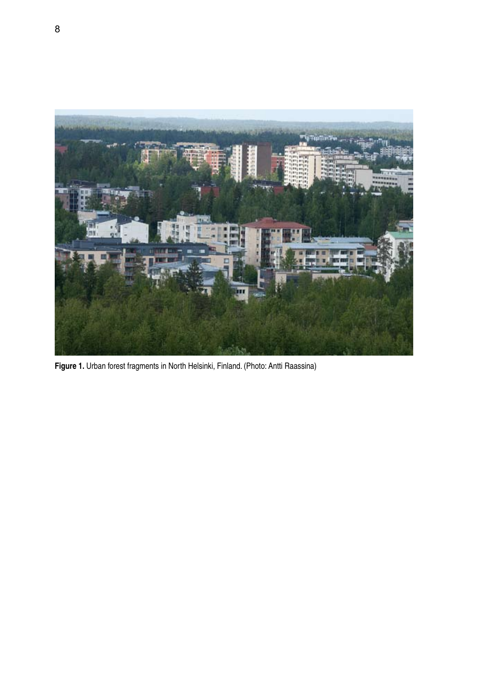

**Figure 1.** Urban forest fragments in North Helsinki, Finland. (Photo: Antti Raassina)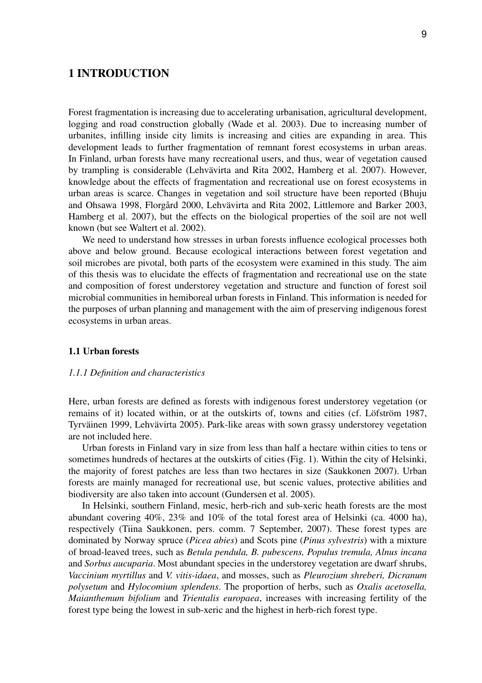# **1 INTRODUCTION**

Forest fragmentation is increasing due to accelerating urbanisation, agricultural development, logging and road construction globally (Wade et al. 2003). Due to increasing number of urbanites, infilling inside city limits is increasing and cities are expanding in area. This development leads to further fragmentation of remnant forest ecosystems in urban areas. In Finland, urban forests have many recreational users, and thus, wear of vegetation caused by trampling is considerable (Lehvävirta and Rita 2002, Hamberg et al. 2007). However, knowledge about the effects of fragmentation and recreational use on forest ecosystems in urban areas is scarce. Changes in vegetation and soil structure have been reported (Bhuju and Ohsawa 1998, Florgård 2000, Lehvävirta and Rita 2002, Littlemore and Barker 2003, Hamberg et al. 2007), but the effects on the biological properties of the soil are not well known (but see Waltert et al. 2002).

We need to understand how stresses in urban forests influence ecological processes both above and below ground. Because ecological interactions between forest vegetation and soil microbes are pivotal, both parts of the ecosystem were examined in this study. The aim of this thesis was to elucidate the effects of fragmentation and recreational use on the state and composition of forest understorey vegetation and structure and function of forest soil microbial communities in hemiboreal urban forests in Finland. This information is needed for the purposes of urban planning and management with the aim of preserving indigenous forest ecosystems in urban areas.

#### **1.1 Urban forests**

#### *1.1.1 Definition and characteristics*

Here, urban forests are defined as forests with indigenous forest understorey vegetation (or remains of it) located within, or at the outskirts of, towns and cities (cf. Löfström 1987, Tyrväinen 1999, Lehvävirta 2005). Park-like areas with sown grassy understorey vegetation are not included here.

Urban forests in Finland vary in size from less than half a hectare within cities to tens or sometimes hundreds of hectares at the outskirts of cities (Fig. 1). Within the city of Helsinki, the majority of forest patches are less than two hectares in size (Saukkonen 2007). Urban forests are mainly managed for recreational use, but scenic values, protective abilities and biodiversity are also taken into account (Gundersen et al. 2005).

In Helsinki, southern Finland, mesic, herb-rich and sub-xeric heath forests are the most abundant covering 40%, 23% and 10% of the total forest area of Helsinki (ca. 4000 ha), respectively (Tiina Saukkonen, pers. comm. 7 September, 2007). These forest types are dominated by Norway spruce (*Picea abies*) and Scots pine (*Pinus sylvestris*) with a mixture of broad-leaved trees, such as *Betula pendula, B. pubescens, Populus tremula, Alnus incana* and *Sorbus aucuparia*. Most abundant species in the understorey vegetation are dwarf shrubs, *Vaccinium myrtillus* and *V. vitis-idaea*, and mosses, such as *Pleurozium shreberi, Dicranum polysetum* and *Hylocomium splendens*. The proportion of herbs, such as *Oxalis acetosella, Maianthemum bifolium* and *Trientalis europaea*, increases with increasing fertility of the forest type being the lowest in sub-xeric and the highest in herb-rich forest type.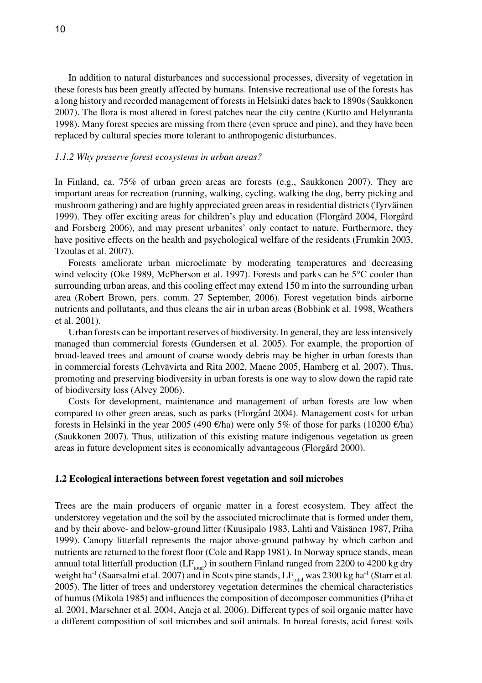In addition to natural disturbances and successional processes, diversity of vegetation in these forests has been greatly affected by humans. Intensive recreational use of the forests has a long history and recorded management of forests in Helsinki dates back to 1890s (Saukkonen 2007). The flora is most altered in forest patches near the city centre (Kurtto and Helynranta 1998). Many forest species are missing from there (even spruce and pine), and they have been replaced by cultural species more tolerant to anthropogenic disturbances.

#### *1.1.2 Why preserve forest ecosystems in urban areas?*

In Finland, ca. 75% of urban green areas are forests (e.g., Saukkonen 2007). They are important areas for recreation (running, walking, cycling, walking the dog, berry picking and mushroom gathering) and are highly appreciated green areas in residential districts (Tyrväinen 1999). They offer exciting areas for children's play and education (Florgård 2004, Florgård and Forsberg 2006), and may present urbanites' only contact to nature. Furthermore, they have positive effects on the health and psychological welfare of the residents (Frumkin 2003, Tzoulas et al. 2007).

Forests ameliorate urban microclimate by moderating temperatures and decreasing wind velocity (Oke 1989, McPherson et al. 1997). Forests and parks can be 5°C cooler than surrounding urban areas, and this cooling effect may extend 150 m into the surrounding urban area (Robert Brown, pers. comm. 27 September, 2006). Forest vegetation binds airborne nutrients and pollutants, and thus cleans the air in urban areas (Bobbink et al. 1998, Weathers et al. 2001).

Urban forests can be important reserves of biodiversity. In general, they are less intensively managed than commercial forests (Gundersen et al. 2005). For example, the proportion of broad-leaved trees and amount of coarse woody debris may be higher in urban forests than in commercial forests (Lehvävirta and Rita 2002, Maene 2005, Hamberg et al. 2007). Thus, promoting and preserving biodiversity in urban forests is one way to slow down the rapid rate of biodiversity loss (Alvey 2006).

Costs for development, maintenance and management of urban forests are low when compared to other green areas, such as parks (Florgård 2004). Management costs for urban forests in Helsinki in the year 2005 (490 €/ha) were only 5% of those for parks (10200 €/ha) (Saukkonen 2007). Thus, utilization of this existing mature indigenous vegetation as green areas in future development sites is economically advantageous (Florgård 2000).

#### **1.2 Ecological interactions between forest vegetation and soil microbes**

Trees are the main producers of organic matter in a forest ecosystem. They affect the understorey vegetation and the soil by the associated microclimate that is formed under them, and by their above- and below-ground litter (Kuusipalo 1983, Lahti and Väisänen 1987, Priha 1999). Canopy litterfall represents the major above-ground pathway by which carbon and nutrients are returned to the forest floor (Cole and Rapp 1981). In Norway spruce stands, mean annual total litterfall production ( $LF_{total}$ ) in southern Finland ranged from 2200 to 4200 kg dry weight ha<sup>-1</sup> (Saarsalmi et al. 2007) and in Scots pine stands,  $LF_{total}$  was 2300 kg ha<sup>-1</sup> (Starr et al. 2005). The litter of trees and understorey vegetation determines the chemical characteristics of humus (Mikola 1985) and influences the composition of decomposer communities (Priha et al. 2001, Marschner et al. 2004, Aneja et al. 2006). Different types of soil organic matter have a different composition of soil microbes and soil animals. In boreal forests, acid forest soils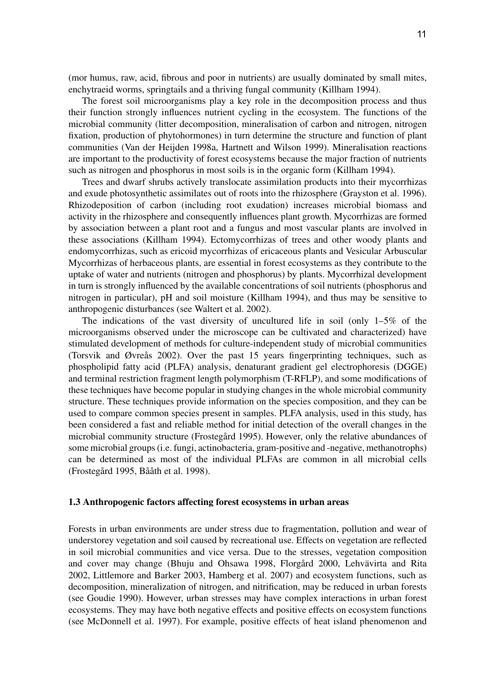(mor humus, raw, acid, fibrous and poor in nutrients) are usually dominated by small mites, enchytraeid worms, springtails and a thriving fungal community (Killham 1994).

The forest soil microorganisms play a key role in the decomposition process and thus their function strongly influences nutrient cycling in the ecosystem. The functions of the microbial community (litter decomposition, mineralisation of carbon and nitrogen, nitrogen fixation, production of phytohormones) in turn determine the structure and function of plant communities (Van der Heijden 1998a, Hartnett and Wilson 1999). Mineralisation reactions are important to the productivity of forest ecosystems because the major fraction of nutrients such as nitrogen and phosphorus in most soils is in the organic form (Killham 1994).

Trees and dwarf shrubs actively translocate assimilation products into their mycorrhizas and exude photosynthetic assimilates out of roots into the rhizosphere (Grayston et al. 1996). Rhizodeposition of carbon (including root exudation) increases microbial biomass and activity in the rhizosphere and consequently influences plant growth. Mycorrhizas are formed by association between a plant root and a fungus and most vascular plants are involved in these associations (Killham 1994). Ectomycorrhizas of trees and other woody plants and endomycorrhizas, such as ericoid mycorrhizas of ericaceous plants and Vesicular Arbuscular Mycorrhizas of herbaceous plants, are essential in forest ecosystems as they contribute to the uptake of water and nutrients (nitrogen and phosphorus) by plants. Mycorrhizal development in turn is strongly influenced by the available concentrations of soil nutrients (phosphorus and nitrogen in particular), pH and soil moisture (Killham 1994), and thus may be sensitive to anthropogenic disturbances (see Waltert et al. 2002).

The indications of the vast diversity of uncultured life in soil (only  $1-5\%$  of the microorganisms observed under the microscope can be cultivated and characterized) have stimulated development of methods for culture-independent study of microbial communities (Torsvik and Øvreås 2002). Over the past 15 years fingerprinting techniques, such as phospholipid fatty acid (PLFA) analysis, denaturant gradient gel electrophoresis (DGGE) and terminal restriction fragment length polymorphism (T-RFLP), and some modifications of these techniques have become popular in studying changes in the whole microbial community structure. These techniques provide information on the species composition, and they can be used to compare common species present in samples. PLFA analysis, used in this study, has been considered a fast and reliable method for initial detection of the overall changes in the microbial community structure (Frostegård 1995). However, only the relative abundances of some microbial groups (i.e. fungi, actinobacteria, gram-positive and -negative, methanotrophs) can be determined as most of the individual PLFAs are common in all microbial cells (Frostegård 1995, Bååth et al. 1998).

#### **1.3 Anthropogenic factors affecting forest ecosystems in urban areas**

Forests in urban environments are under stress due to fragmentation, pollution and wear of understorey vegetation and soil caused by recreational use. Effects on vegetation are reflected in soil microbial communities and vice versa. Due to the stresses, vegetation composition and cover may change (Bhuju and Ohsawa 1998, Florgård 2000, Lehvävirta and Rita 2002, Littlemore and Barker 2003, Hamberg et al. 2007) and ecosystem functions, such as decomposition, mineralization of nitrogen, and nitrification, may be reduced in urban forests (see Goudie 1990). However, urban stresses may have complex interactions in urban forest ecosystems. They may have both negative effects and positive effects on ecosystem functions (see McDonnell et al. 1997). For example, positive effects of heat island phenomenon and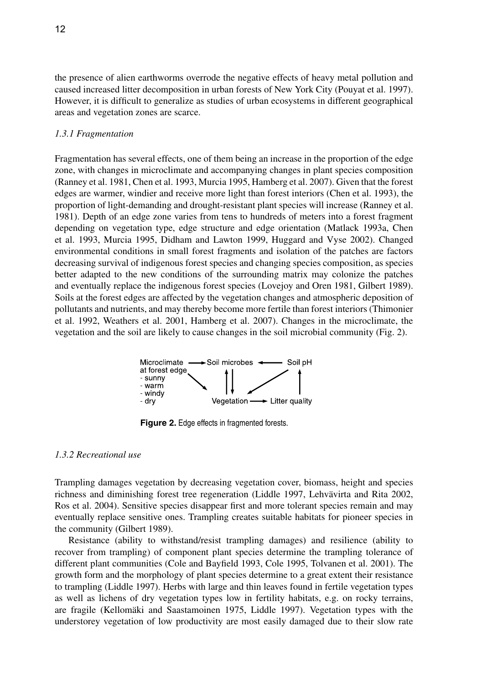the presence of alien earthworms overrode the negative effects of heavy metal pollution and caused increased litter decomposition in urban forests of New York City (Pouyat et al. 1997). However, it is difficult to generalize as studies of urban ecosystems in different geographical areas and vegetation zones are scarce.

#### *1.3.1 Fragmentation*

Fragmentation has several effects, one of them being an increase in the proportion of the edge zone, with changes in microclimate and accompanying changes in plant species composition (Ranney et al. 1981, Chen et al. 1993, Murcia 1995, Hamberg et al. 2007). Given that the forest edges are warmer, windier and receive more light than forest interiors (Chen et al. 1993), the proportion of light-demanding and drought-resistant plant species will increase (Ranney et al. 1981). Depth of an edge zone varies from tens to hundreds of meters into a forest fragment depending on vegetation type, edge structure and edge orientation (Matlack 1993a, Chen et al. 1993, Murcia 1995, Didham and Lawton 1999, Huggard and Vyse 2002). Changed environmental conditions in small forest fragments and isolation of the patches are factors decreasing survival of indigenous forest species and changing species composition, as species better adapted to the new conditions of the surrounding matrix may colonize the patches and eventually replace the indigenous forest species (Lovejoy and Oren 1981, Gilbert 1989). Soils at the forest edges are affected by the vegetation changes and atmospheric deposition of pollutants and nutrients, and may thereby become more fertile than forest interiors (Thimonier et al. 1992, Weathers et al. 2001, Hamberg et al. 2007). Changes in the microclimate, the vegetation and the soil are likely to cause changes in the soil microbial community (Fig. 2).



**Figure 2.** Edge effects in fragmented forests.

#### *1.3.2 Recreational use*

Trampling damages vegetation by decreasing vegetation cover, biomass, height and species richness and diminishing forest tree regeneration (Liddle 1997, Lehvävirta and Rita 2002, Ros et al. 2004). Sensitive species disappear first and more tolerant species remain and may eventually replace sensitive ones. Trampling creates suitable habitats for pioneer species in the community (Gilbert 1989).

Resistance (ability to withstand/resist trampling damages) and resilience (ability to recover from trampling) of component plant species determine the trampling tolerance of different plant communities (Cole and Bayfield 1993, Cole 1995, Tolvanen et al. 2001). The growth form and the morphology of plant species determine to a great extent their resistance to trampling (Liddle 1997). Herbs with large and thin leaves found in fertile vegetation types as well as lichens of dry vegetation types low in fertility habitats, e.g. on rocky terrains, are fragile (Kellomäki and Saastamoinen 1975, Liddle 1997). Vegetation types with the understorey vegetation of low productivity are most easily damaged due to their slow rate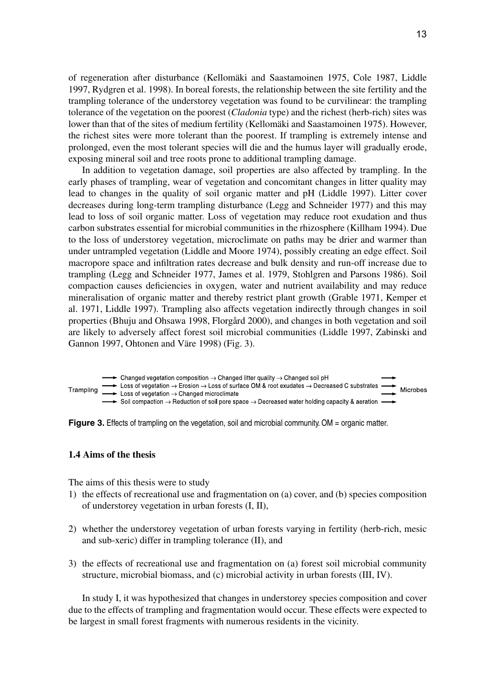of regeneration after disturbance (Kellomäki and Saastamoinen 1975, Cole 1987, Liddle 1997, Rydgren et al. 1998). In boreal forests, the relationship between the site fertility and the trampling tolerance of the understorey vegetation was found to be curvilinear: the trampling tolerance of the vegetation on the poorest (*Cladonia* type) and the richest (herb-rich) sites was lower than that of the sites of medium fertility (Kellomäki and Saastamoinen 1975). However, the richest sites were more tolerant than the poorest. If trampling is extremely intense and prolonged, even the most tolerant species will die and the humus layer will gradually erode, exposing mineral soil and tree roots prone to additional trampling damage.

In addition to vegetation damage, soil properties are also affected by trampling. In the early phases of trampling, wear of vegetation and concomitant changes in litter quality may lead to changes in the quality of soil organic matter and pH (Liddle 1997). Litter cover decreases during long-term trampling disturbance (Legg and Schneider 1977) and this may lead to loss of soil organic matter. Loss of vegetation may reduce root exudation and thus carbon substrates essential for microbial communities in the rhizosphere (Killham 1994). Due to the loss of understorey vegetation, microclimate on paths may be drier and warmer than under untrampled vegetation (Liddle and Moore 1974), possibly creating an edge effect. Soil macropore space and infiltration rates decrease and bulk density and run-off increase due to trampling (Legg and Schneider 1977, James et al. 1979, Stohlgren and Parsons 1986). Soil compaction causes deficiencies in oxygen, water and nutrient availability and may reduce mineralisation of organic matter and thereby restrict plant growth (Grable 1971, Kemper et al. 1971, Liddle 1997). Trampling also affects vegetation indirectly through changes in soil properties (Bhuju and Ohsawa 1998, Florgård 2000), and changes in both vegetation and soil are likely to adversely affect forest soil microbial communities (Liddle 1997, Zabinski and Gannon 1997, Ohtonen and Väre 1998) (Fig. 3).



**Figure 3.** Effects of trampling on the vegetation, soil and microbial community. OM = organic matter.

### **1.4 Aims of the thesis**

The aims of this thesis were to study

- 1) the effects of recreational use and fragmentation on (a) cover, and (b) species composition of understorey vegetation in urban forests (I, II),
- 2) whether the understorey vegetation of urban forests varying in fertility (herb-rich, mesic and sub-xeric) differ in trampling tolerance (II), and
- 3) the effects of recreational use and fragmentation on (a) forest soil microbial community structure, microbial biomass, and (c) microbial activity in urban forests (III, IV).

In study I, it was hypothesized that changes in understorey species composition and cover due to the effects of trampling and fragmentation would occur. These effects were expected to be largest in small forest fragments with numerous residents in the vicinity.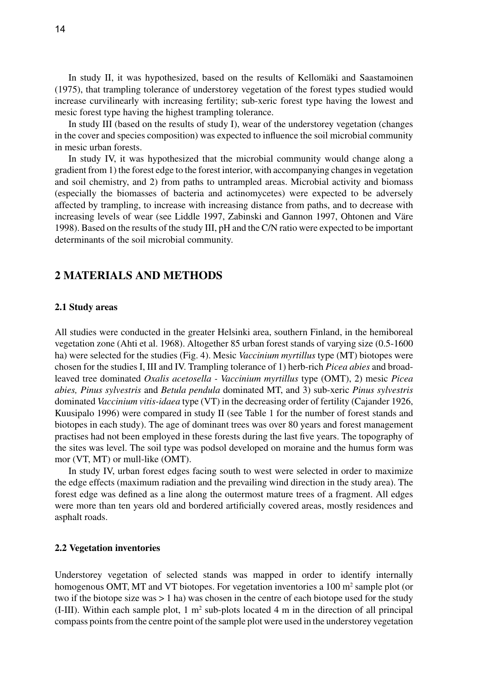In study II, it was hypothesized, based on the results of Kellomäki and Saastamoinen (1975), that trampling tolerance of understorey vegetation of the forest types studied would increase curvilinearly with increasing fertility; sub-xeric forest type having the lowest and mesic forest type having the highest trampling tolerance.

In study III (based on the results of study I), wear of the understorey vegetation (changes in the cover and species composition) was expected to influence the soil microbial community in mesic urban forests.

In study IV, it was hypothesized that the microbial community would change along a gradient from 1) the forest edge to the forest interior, with accompanying changes in vegetation and soil chemistry, and 2) from paths to untrampled areas. Microbial activity and biomass (especially the biomasses of bacteria and actinomycetes) were expected to be adversely affected by trampling, to increase with increasing distance from paths, and to decrease with increasing levels of wear (see Liddle 1997, Zabinski and Gannon 1997, Ohtonen and Väre 1998). Based on the results of the study III, pH and the C/N ratio were expected to be important determinants of the soil microbial community.

# **2 MATERIALS AND METHODS**

#### **2.1 Study areas**

All studies were conducted in the greater Helsinki area, southern Finland, in the hemiboreal vegetation zone (Ahti et al. 1968). Altogether 85 urban forest stands of varying size (0.5-1600 ha) were selected for the studies (Fig. 4). Mesic *Vaccinium myrtillus* type (MT) biotopes were chosen for the studies I, III and IV. Trampling tolerance of 1) herb-rich *Picea abies* and broadleaved tree dominated *Oxalis acetosella - Vaccinium myrtillus* type (OMT), 2) mesic *Picea abies, Pinus sylvestris* and *Betula pendula* dominated MT, and 3) sub-xeric *Pinus sylvestris* dominated *Vaccinium vitis-idaea* type (VT) in the decreasing order of fertility (Cajander 1926, Kuusipalo 1996) were compared in study II (see Table 1 for the number of forest stands and biotopes in each study). The age of dominant trees was over 80 years and forest management practises had not been employed in these forests during the last five years. The topography of the sites was level. The soil type was podsol developed on moraine and the humus form was mor (VT, MT) or mull-like (OMT).

In study IV, urban forest edges facing south to west were selected in order to maximize the edge effects (maximum radiation and the prevailing wind direction in the study area). The forest edge was defined as a line along the outermost mature trees of a fragment. All edges were more than ten years old and bordered artificially covered areas, mostly residences and asphalt roads.

#### **2.2 Vegetation inventories**

Understorey vegetation of selected stands was mapped in order to identify internally homogenous OMT, MT and VT biotopes. For vegetation inventories a 100  $m<sup>2</sup>$  sample plot (or two if the biotope size was  $> 1$  ha) was chosen in the centre of each biotope used for the study (I-III). Within each sample plot,  $1 \text{ m}^2$  sub-plots located  $4 \text{ m}$  in the direction of all principal compass points from the centre point of the sample plot were used in the understorey vegetation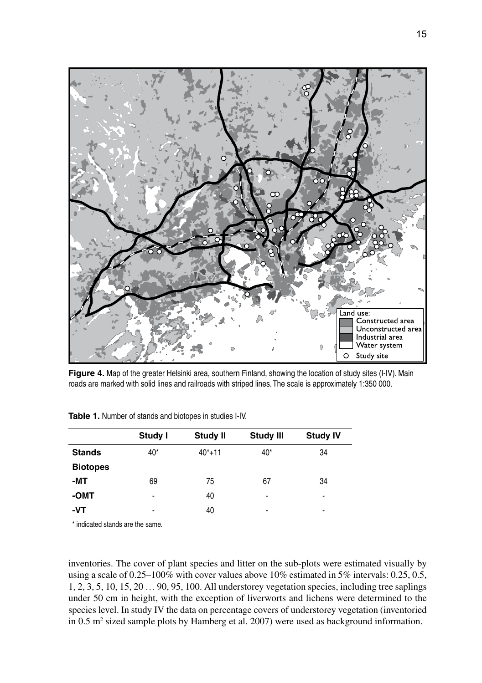

**Figure 4.** Map of the greater Helsinki area, southern Finland, showing the location of study sites (I-IV). Main roads are marked with solid lines and railroads with striped lines. The scale is approximately 1:350 000.

|                 | Study I | <b>Study II</b> | <b>Study III</b> | <b>Study IV</b>          |
|-----------------|---------|-----------------|------------------|--------------------------|
| <b>Stands</b>   | $40*$   | $40*+11$        | $40*$            | 34                       |
| <b>Biotopes</b> |         |                 |                  |                          |
| -MT             | 69      | 75              | 67               | 34                       |
| -OMT            | ۰       | 40              | ٠                | ٠                        |
| -VT             | ۰       | 40              | ٠                | $\overline{\phantom{a}}$ |

**Table 1.** Number of stands and biotopes in studies I-IV.

\* indicated stands are the same.

inventories. The cover of plant species and litter on the sub-plots were estimated visually by using a scale of  $0.25-100\%$  with cover values above 10% estimated in 5% intervals: 0.25, 0.5, 1, 2, 3, 5, 10, 15, 20 … 90, 95, 100. All understorey vegetation species, including tree saplings under 50 cm in height, with the exception of liverworts and lichens were determined to the species level. In study IV the data on percentage covers of understorey vegetation (inventoried in  $0.5$  m<sup>2</sup> sized sample plots by Hamberg et al. 2007) were used as background information.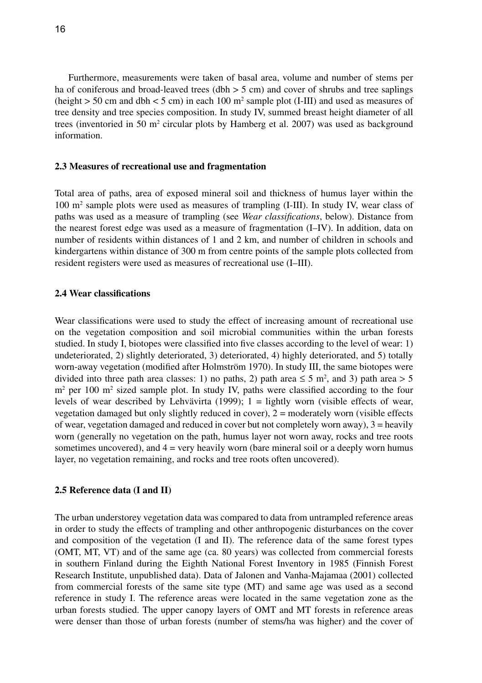Furthermore, measurements were taken of basal area, volume and number of stems per ha of coniferous and broad-leaved trees (dbh  $>$  5 cm) and cover of shrubs and tree saplings (height  $>$  50 cm and dbh  $<$  5 cm) in each 100 m<sup>2</sup> sample plot (I-III) and used as measures of tree density and tree species composition. In study IV, summed breast height diameter of all trees (inventoried in 50  $m<sup>2</sup>$  circular plots by Hamberg et al. 2007) was used as background information.

#### **2.3 Measures of recreational use and fragmentation**

Total area of paths, area of exposed mineral soil and thickness of humus layer within the 100 m2 sample plots were used as measures of trampling (I-III). In study IV, wear class of paths was used as a measure of trampling (see *Wear classifications*, below). Distance from the nearest forest edge was used as a measure of fragmentation (I–IV). In addition, data on number of residents within distances of 1 and 2 km, and number of children in schools and kindergartens within distance of 300 m from centre points of the sample plots collected from resident registers were used as measures of recreational use (I–III).

#### **2.4 Wear classifications**

Wear classifications were used to study the effect of increasing amount of recreational use on the vegetation composition and soil microbial communities within the urban forests studied. In study I, biotopes were classified into five classes according to the level of wear: 1) undeteriorated, 2) slightly deteriorated, 3) deteriorated, 4) highly deteriorated, and 5) totally worn-away vegetation (modified after Holmström 1970). In study III, the same biotopes were divided into three path area classes: 1) no paths, 2) path area  $\leq$  5 m<sup>2</sup>, and 3) path area  $>$  5 m<sup>2</sup> per 100 m<sup>2</sup> sized sample plot. In study IV, paths were classified according to the four levels of wear described by Lehvävirta (1999); 1 = lightly worn (visible effects of wear, vegetation damaged but only slightly reduced in cover), 2 = moderately worn (visible effects of wear, vegetation damaged and reduced in cover but not completely worn away),  $3 =$  heavily worn (generally no vegetation on the path, humus layer not worn away, rocks and tree roots sometimes uncovered), and  $4 = \text{very heavily worn}$  (bare mineral soil or a deeply worn humus layer, no vegetation remaining, and rocks and tree roots often uncovered).

#### **2.5 Reference data (I and II)**

The urban understorey vegetation data was compared to data from untrampled reference areas in order to study the effects of trampling and other anthropogenic disturbances on the cover and composition of the vegetation (I and II). The reference data of the same forest types (OMT, MT, VT) and of the same age (ca. 80 years) was collected from commercial forests in southern Finland during the Eighth National Forest Inventory in 1985 (Finnish Forest Research Institute, unpublished data). Data of Jalonen and Vanha-Majamaa (2001) collected from commercial forests of the same site type (MT) and same age was used as a second reference in study I. The reference areas were located in the same vegetation zone as the urban forests studied. The upper canopy layers of OMT and MT forests in reference areas were denser than those of urban forests (number of stems/ha was higher) and the cover of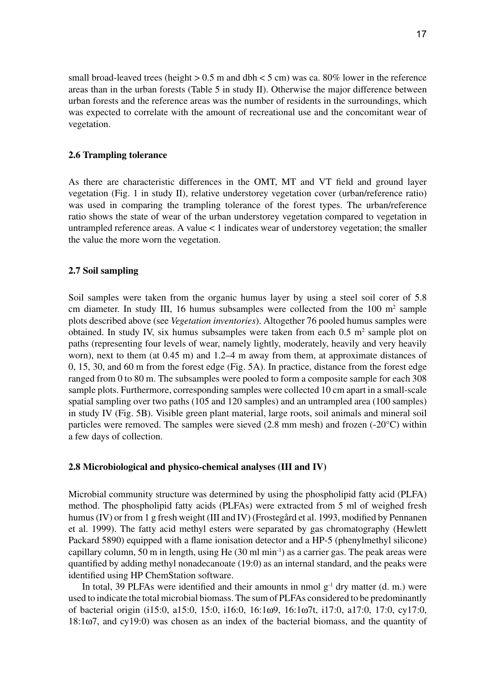small broad-leaved trees (height  $> 0.5$  m and dbh  $< 5$  cm) was ca. 80% lower in the reference areas than in the urban forests (Table 5 in study II). Otherwise the major difference between urban forests and the reference areas was the number of residents in the surroundings, which was expected to correlate with the amount of recreational use and the concomitant wear of vegetation.

### **2.6 Trampling tolerance**

As there are characteristic differences in the OMT, MT and VT field and ground layer vegetation (Fig. 1 in study II), relative understorey vegetation cover (urban/reference ratio) was used in comparing the trampling tolerance of the forest types. The urban/reference ratio shows the state of wear of the urban understorey vegetation compared to vegetation in untrampled reference areas. A value < 1 indicates wear of understorey vegetation; the smaller the value the more worn the vegetation.

#### **2.7 Soil sampling**

Soil samples were taken from the organic humus layer by using a steel soil corer of 5.8 cm diameter. In study III, 16 humus subsamples were collected from the  $100 \text{ m}^2$  sample plots described above (see *Vegetation inventories*). Altogether 76 pooled humus samples were obtained. In study IV, six humus subsamples were taken from each  $0.5 \text{ m}^2$  sample plot on paths (representing four levels of wear, namely lightly, moderately, heavily and very heavily worn), next to them (at 0.45 m) and 1.2–4 m away from them, at approximate distances of 0, 15, 30, and 60 m from the forest edge (Fig. 5A). In practice, distance from the forest edge ranged from 0 to 80 m. The subsamples were pooled to form a composite sample for each 308 sample plots. Furthermore, corresponding samples were collected 10 cm apart in a small-scale spatial sampling over two paths (105 and 120 samples) and an untrampled area (100 samples) in study IV (Fig. 5B). Visible green plant material, large roots, soil animals and mineral soil particles were removed. The samples were sieved (2.8 mm mesh) and frozen (-20°C) within a few days of collection.

#### **2.8 Microbiological and physico-chemical analyses (III and IV)**

Microbial community structure was determined by using the phospholipid fatty acid (PLFA) method. The phospholipid fatty acids (PLFAs) were extracted from 5 ml of weighed fresh humus (IV) or from 1 g fresh weight (III and IV) (Frostegård et al. 1993, modified by Pennanen et al. 1999). The fatty acid methyl esters were separated by gas chromatography (Hewlett Packard 5890) equipped with a flame ionisation detector and a HP-5 (phenylmethyl silicone) capillary column, 50 m in length, using He  $(30 \text{ ml min}^{-1})$  as a carrier gas. The peak areas were quantified by adding methyl nonadecanoate (19:0) as an internal standard, and the peaks were identified using HP ChemStation software.

In total, 39 PLFAs were identified and their amounts in nmol  $g^{-1}$  dry matter (d. m.) were used to indicate the total microbial biomass. The sum of PLFAs considered to be predominantly of bacterial origin (i15:0, a15:0, 15:0, i16:0, 16:1w9, 16:1w7t, i17:0, a17:0, 17:0, cy17:0,  $18:1\omega$ 7, and cy19:0) was chosen as an index of the bacterial biomass, and the quantity of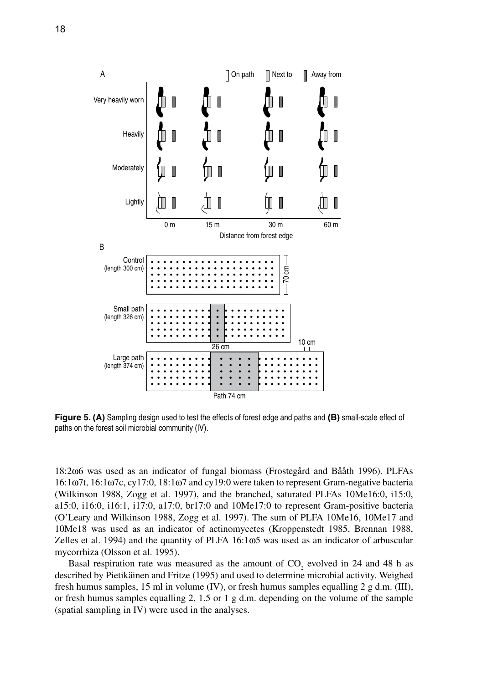

**Figure 5. (A)** Sampling design used to test the effects of forest edge and paths and **(B)** small-scale effect of paths on the forest soil microbial community (IV).

18:2w6 was used as an indicator of fungal biomass (Frostegård and Bååth 1996). PLFAs 16:1w7t, 16:1w7c, cy17:0, 18:1w7 and cy19:0 were taken to represent Gram-negative bacteria (Wilkinson 1988, Zogg et al. 1997), and the branched, saturated PLFAs 10Me16:0, i15:0, a15:0, i16:0, i16:1, i17:0, a17:0, br17:0 and 10Me17:0 to represent Gram-positive bacteria (O'Leary and Wilkinson 1988, Zogg et al. 1997). The sum of PLFA 10Me16, 10Me17 and 10Me18 was used as an indicator of actinomycetes (Kroppenstedt 1985, Brennan 1988, Zelles et al. 1994) and the quantity of PLFA  $16:1\omega5$  was used as an indicator of arbuscular mycorrhiza (Olsson et al. 1995).

Basal respiration rate was measured as the amount of  $CO_2$  evolved in 24 and 48 h as described by Pietikäinen and Fritze (1995) and used to determine microbial activity. Weighed fresh humus samples, 15 ml in volume (IV), or fresh humus samples equalling 2 g d.m. (III), or fresh humus samples equalling 2, 1.5 or 1 g d.m. depending on the volume of the sample (spatial sampling in IV) were used in the analyses.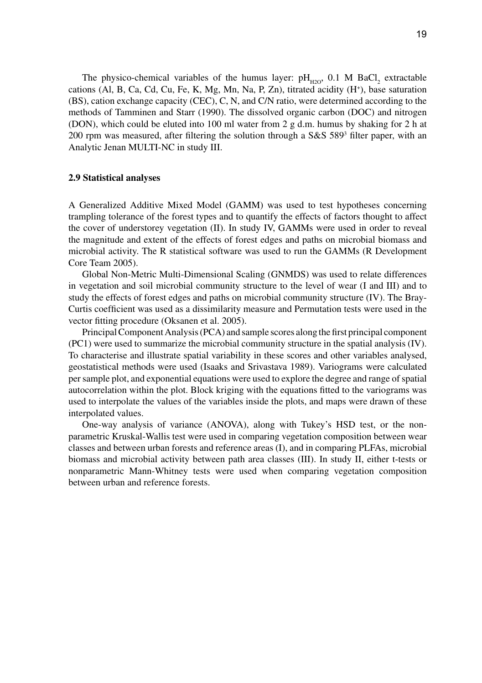The physico-chemical variables of the humus layer:  $pH_{H2O}$ , 0.1 M BaCl<sub>2</sub> extractable cations (Al, B, Ca, Cd, Cu, Fe, K, Mg, Mn, Na, P, Zn), titrated acidity (H+ ), base saturation (BS), cation exchange capacity (CEC), C, N, and C/N ratio, were determined according to the methods of Tamminen and Starr (1990). The dissolved organic carbon (DOC) and nitrogen (DON), which could be eluted into 100 ml water from 2 g d.m. humus by shaking for 2 h at 200 rpm was measured, after filtering the solution through a  $S&S 589<sup>3</sup>$  filter paper, with an Analytic Jenan MULTI-NC in study III.

#### **2.9 Statistical analyses**

A Generalized Additive Mixed Model (GAMM) was used to test hypotheses concerning trampling tolerance of the forest types and to quantify the effects of factors thought to affect the cover of understorey vegetation (II). In study IV, GAMMs were used in order to reveal the magnitude and extent of the effects of forest edges and paths on microbial biomass and microbial activity. The R statistical software was used to run the GAMMs (R Development Core Team 2005).

Global Non-Metric Multi-Dimensional Scaling (GNMDS) was used to relate differences in vegetation and soil microbial community structure to the level of wear (I and III) and to study the effects of forest edges and paths on microbial community structure (IV). The Bray-Curtis coefficient was used as a dissimilarity measure and Permutation tests were used in the vector fitting procedure (Oksanen et al. 2005).

Principal Component Analysis (PCA) and sample scores along the first principal component (PC1) were used to summarize the microbial community structure in the spatial analysis (IV). To characterise and illustrate spatial variability in these scores and other variables analysed, geostatistical methods were used (Isaaks and Srivastava 1989). Variograms were calculated per sample plot, and exponential equations were used to explore the degree and range of spatial autocorrelation within the plot. Block kriging with the equations fitted to the variograms was used to interpolate the values of the variables inside the plots, and maps were drawn of these interpolated values.

One-way analysis of variance (ANOVA), along with Tukey's HSD test, or the nonparametric Kruskal-Wallis test were used in comparing vegetation composition between wear classes and between urban forests and reference areas (I), and in comparing PLFAs, microbial biomass and microbial activity between path area classes (III). In study II, either t-tests or nonparametric Mann-Whitney tests were used when comparing vegetation composition between urban and reference forests.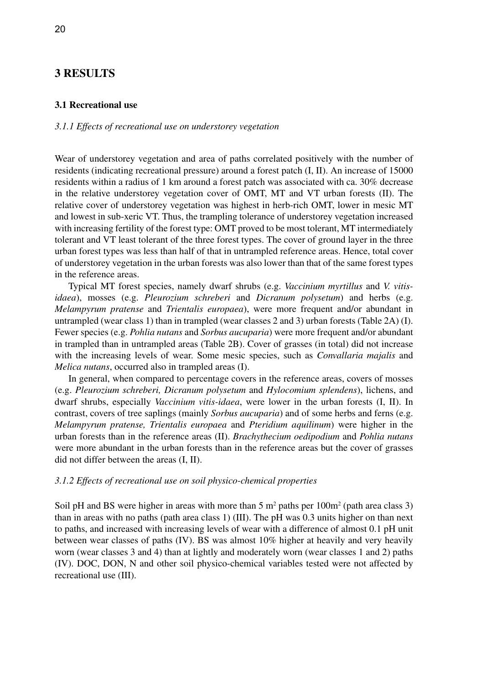# **3 RESULTS**

#### **3.1 Recreational use**

### *3.1.1 Effects of recreational use on understorey vegetation*

Wear of understorey vegetation and area of paths correlated positively with the number of residents (indicating recreational pressure) around a forest patch (I, II). An increase of 15000 residents within a radius of 1 km around a forest patch was associated with ca. 30% decrease in the relative understorey vegetation cover of OMT, MT and VT urban forests (II). The relative cover of understorey vegetation was highest in herb-rich OMT, lower in mesic MT and lowest in sub-xeric VT. Thus, the trampling tolerance of understorey vegetation increased with increasing fertility of the forest type: OMT proved to be most tolerant, MT intermediately tolerant and VT least tolerant of the three forest types. The cover of ground layer in the three urban forest types was less than half of that in untrampled reference areas. Hence, total cover of understorey vegetation in the urban forests was also lower than that of the same forest types in the reference areas.

Typical MT forest species, namely dwarf shrubs (e.g. *Vaccinium myrtillus* and *V. vitisidaea*), mosses (e.g. *Pleurozium schreberi* and *Dicranum polysetum*) and herbs (e.g. *Melampyrum pratense* and *Trientalis europaea*), were more frequent and/or abundant in untrampled (wear class 1) than in trampled (wear classes 2 and 3) urban forests (Table 2A) (I). Fewer species (e.g. *Pohlia nutans* and *Sorbus aucuparia*) were more frequent and/or abundant in trampled than in untrampled areas (Table 2B). Cover of grasses (in total) did not increase with the increasing levels of wear. Some mesic species, such as *Convallaria majalis* and *Melica nutans*, occurred also in trampled areas (I).

In general, when compared to percentage covers in the reference areas, covers of mosses (e.g. *Pleurozium schreberi, Dicranum polysetum* and *Hylocomium splendens*), lichens, and dwarf shrubs, especially *Vaccinium vitis-idaea*, were lower in the urban forests (I, II). In contrast, covers of tree saplings (mainly *Sorbus aucuparia*) and of some herbs and ferns (e.g. *Melampyrum pratense, Trientalis europaea* and *Pteridium aquilinum*) were higher in the urban forests than in the reference areas (II). *Brachythecium oedipodium* and *Pohlia nutans* were more abundant in the urban forests than in the reference areas but the cover of grasses did not differ between the areas (I, II).

#### *3.1.2 Effects of recreational use on soil physico-chemical properties*

Soil pH and BS were higher in areas with more than  $5 \text{ m}^2$  paths per  $100 \text{ m}^2$  (path area class 3) than in areas with no paths (path area class 1) (III). The pH was 0.3 units higher on than next to paths, and increased with increasing levels of wear with a difference of almost 0.1 pH unit between wear classes of paths (IV). BS was almost 10% higher at heavily and very heavily worn (wear classes 3 and 4) than at lightly and moderately worn (wear classes 1 and 2) paths (IV). DOC, DON, N and other soil physico-chemical variables tested were not affected by recreational use (III).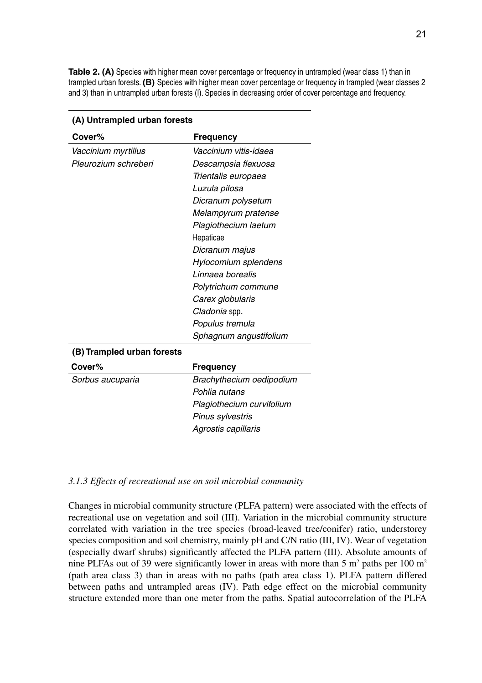**Table 2. (A)** Species with higher mean cover percentage or frequency in untrampled (wear class 1) than in trampled urban forests. **(B)** Species with higher mean cover percentage or frequency in trampled (wear classes 2 and 3) than in untrampled urban forests (I). Species in decreasing order of cover percentage and frequency.

| Cover%                     | <b>Frequency</b>         |
|----------------------------|--------------------------|
| Vaccinium myrtillus        | Vaccinium vitis-idaea    |
| Pleurozium schreberi       | Descampsia flexuosa      |
|                            | Trientalis europaea      |
|                            | Luzula pilosa            |
|                            | Dicranum polysetum       |
|                            | Melampyrum pratense      |
|                            | Plagiothecium laetum     |
|                            | Hepaticae                |
|                            | Dicranum majus           |
|                            | Hylocomium splendens     |
|                            | Linnaea borealis         |
|                            | Polytrichum commune      |
|                            | Carex globularis         |
|                            | Cladonia spp.            |
|                            | Populus tremula          |
|                            | Sphagnum angustifolium   |
| (B) Trampled urban forests |                          |
| Cover%                     | <b>Frequency</b>         |
| Sorbus aucuparia           | Brachythecium oedipodium |

#### **(A) Untrampled urban forests**

#### *3.1.3 Effects of recreational use on soil microbial community*

*Pohlia nutans*

*Pinus sylvestris Agrostis capillaris*

*Plagiothecium curvifolium*

Changes in microbial community structure (PLFA pattern) were associated with the effects of recreational use on vegetation and soil (III). Variation in the microbial community structure correlated with variation in the tree species (broad-leaved tree/conifer) ratio, understorey species composition and soil chemistry, mainly pH and C/N ratio (III, IV). Wear of vegetation (especially dwarf shrubs) significantly affected the PLFA pattern (III). Absolute amounts of nine PLFAs out of 39 were significantly lower in areas with more than 5  $m<sup>2</sup>$  paths per 100  $m<sup>2</sup>$ (path area class 3) than in areas with no paths (path area class 1). PLFA pattern differed between paths and untrampled areas (IV). Path edge effect on the microbial community structure extended more than one meter from the paths. Spatial autocorrelation of the PLFA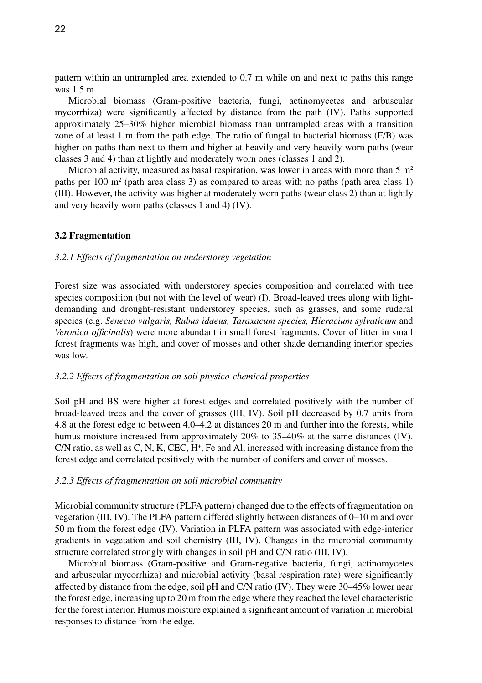pattern within an untrampled area extended to 0.7 m while on and next to paths this range was 1.5 m.

Microbial biomass (Gram-positive bacteria, fungi, actinomycetes and arbuscular mycorrhiza) were significantly affected by distance from the path (IV). Paths supported approximately 25–30% higher microbial biomass than untrampled areas with a transition zone of at least 1 m from the path edge. The ratio of fungal to bacterial biomass (F/B) was higher on paths than next to them and higher at heavily and very heavily worn paths (wear classes 3 and 4) than at lightly and moderately worn ones (classes 1 and 2).

Microbial activity, measured as basal respiration, was lower in areas with more than  $5 \text{ m}^2$ paths per  $100 \text{ m}^2$  (path area class 3) as compared to areas with no paths (path area class 1) (III). However, the activity was higher at moderately worn paths (wear class 2) than at lightly and very heavily worn paths (classes 1 and 4) (IV).

#### **3.2 Fragmentation**

#### *3.2.1 Effects of fragmentation on understorey vegetation*

Forest size was associated with understorey species composition and correlated with tree species composition (but not with the level of wear) (I). Broad-leaved trees along with lightdemanding and drought-resistant understorey species, such as grasses, and some ruderal species (e.g. *Senecio vulgaris, Rubus idaeus, Taraxacum species, Hieracium sylvaticum* and *Veronica officinalis*) were more abundant in small forest fragments. Cover of litter in small forest fragments was high, and cover of mosses and other shade demanding interior species was low.

#### *3.2.2 Effects of fragmentation on soil physico-chemical properties*

Soil pH and BS were higher at forest edges and correlated positively with the number of broad-leaved trees and the cover of grasses (III, IV). Soil pH decreased by 0.7 units from 4.8 at the forest edge to between 4.0–4.2 at distances 20 m and further into the forests, while humus moisture increased from approximately 20% to 35–40% at the same distances (IV). C/N ratio, as well as  $C, N, K, CEC, H<sup>+</sup>$ , Fe and Al, increased with increasing distance from the forest edge and correlated positively with the number of conifers and cover of mosses.

#### *3.2.3 Effects of fragmentation on soil microbial community*

Microbial community structure (PLFA pattern) changed due to the effects of fragmentation on vegetation (III, IV). The PLFA pattern differed slightly between distances of 0–10 m and over 50 m from the forest edge (IV). Variation in PLFA pattern was associated with edge-interior gradients in vegetation and soil chemistry (III, IV). Changes in the microbial community structure correlated strongly with changes in soil pH and C/N ratio (III, IV).

Microbial biomass (Gram-positive and Gram-negative bacteria, fungi, actinomycetes and arbuscular mycorrhiza) and microbial activity (basal respiration rate) were significantly affected by distance from the edge, soil pH and C/N ratio (IV). They were 30–45% lower near the forest edge, increasing up to 20 m from the edge where they reached the level characteristic for the forest interior. Humus moisture explained a significant amount of variation in microbial responses to distance from the edge.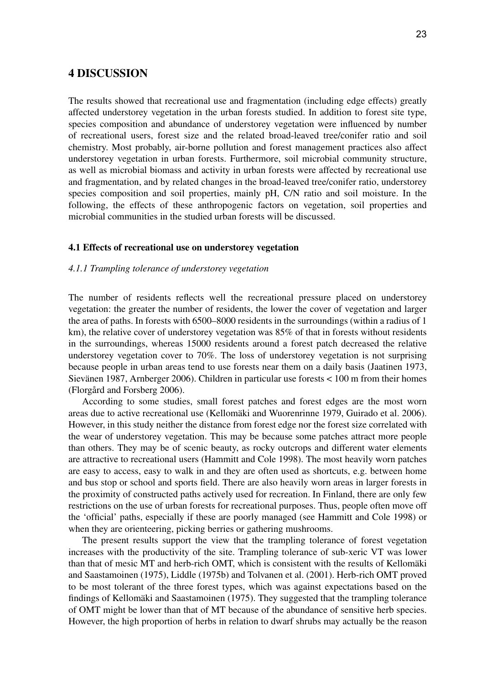# **4 DISCUSSION**

The results showed that recreational use and fragmentation (including edge effects) greatly affected understorey vegetation in the urban forests studied. In addition to forest site type, species composition and abundance of understorey vegetation were influenced by number of recreational users, forest size and the related broad-leaved tree/conifer ratio and soil chemistry. Most probably, air-borne pollution and forest management practices also affect understorey vegetation in urban forests. Furthermore, soil microbial community structure, as well as microbial biomass and activity in urban forests were affected by recreational use and fragmentation, and by related changes in the broad-leaved tree/conifer ratio, understorey species composition and soil properties, mainly pH, C/N ratio and soil moisture. In the following, the effects of these anthropogenic factors on vegetation, soil properties and microbial communities in the studied urban forests will be discussed.

#### **4.1 Effects of recreational use on understorey vegetation**

### *4.1.1 Trampling tolerance of understorey vegetation*

The number of residents reflects well the recreational pressure placed on understorey vegetation: the greater the number of residents, the lower the cover of vegetation and larger the area of paths. In forests with 6500–8000 residents in the surroundings (within a radius of 1 km), the relative cover of understorey vegetation was  $85\%$  of that in forests without residents in the surroundings, whereas 15000 residents around a forest patch decreased the relative understorey vegetation cover to 70%. The loss of understorey vegetation is not surprising because people in urban areas tend to use forests near them on a daily basis (Jaatinen 1973, Sievänen 1987, Arnberger 2006). Children in particular use forests < 100 m from their homes (Florgård and Forsberg 2006).

According to some studies, small forest patches and forest edges are the most worn areas due to active recreational use (Kellomäki and Wuorenrinne 1979, Guirado et al. 2006). However, in this study neither the distance from forest edge nor the forest size correlated with the wear of understorey vegetation. This may be because some patches attract more people than others. They may be of scenic beauty, as rocky outcrops and different water elements are attractive to recreational users (Hammitt and Cole 1998). The most heavily worn patches are easy to access, easy to walk in and they are often used as shortcuts, e.g. between home and bus stop or school and sports field. There are also heavily worn areas in larger forests in the proximity of constructed paths actively used for recreation. In Finland, there are only few restrictions on the use of urban forests for recreational purposes. Thus, people often move off the 'official' paths, especially if these are poorly managed (see Hammitt and Cole 1998) or when they are orienteering, picking berries or gathering mushrooms.

The present results support the view that the trampling tolerance of forest vegetation increases with the productivity of the site. Trampling tolerance of sub-xeric VT was lower than that of mesic MT and herb-rich OMT, which is consistent with the results of Kellomäki and Saastamoinen (1975), Liddle (1975b) and Tolvanen et al. (2001). Herb-rich OMT proved to be most tolerant of the three forest types, which was against expectations based on the findings of Kellomäki and Saastamoinen (1975). They suggested that the trampling tolerance of OMT might be lower than that of MT because of the abundance of sensitive herb species. However, the high proportion of herbs in relation to dwarf shrubs may actually be the reason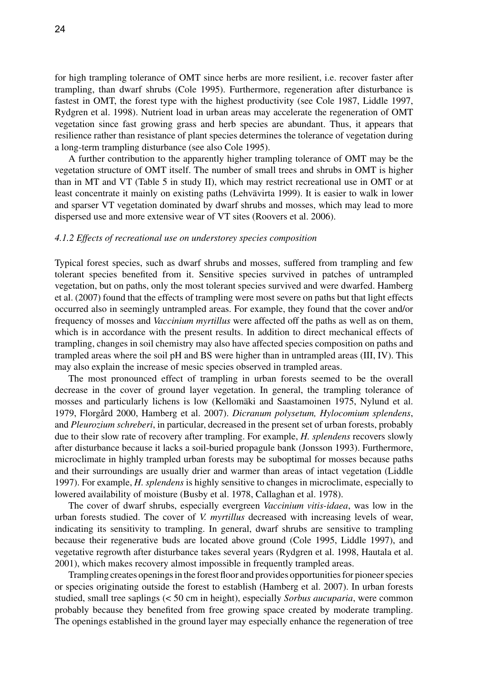for high trampling tolerance of OMT since herbs are more resilient, i.e. recover faster after trampling, than dwarf shrubs (Cole 1995). Furthermore, regeneration after disturbance is fastest in OMT, the forest type with the highest productivity (see Cole 1987, Liddle 1997, Rydgren et al. 1998). Nutrient load in urban areas may accelerate the regeneration of OMT vegetation since fast growing grass and herb species are abundant. Thus, it appears that resilience rather than resistance of plant species determines the tolerance of vegetation during a long-term trampling disturbance (see also Cole 1995).

A further contribution to the apparently higher trampling tolerance of OMT may be the vegetation structure of OMT itself. The number of small trees and shrubs in OMT is higher than in MT and VT (Table 5 in study II), which may restrict recreational use in OMT or at least concentrate it mainly on existing paths (Lehvävirta 1999). It is easier to walk in lower and sparser VT vegetation dominated by dwarf shrubs and mosses, which may lead to more dispersed use and more extensive wear of VT sites (Roovers et al. 2006).

#### *4.1.2 Effects of recreational use on understorey species composition*

Typical forest species, such as dwarf shrubs and mosses, suffered from trampling and few tolerant species benefited from it. Sensitive species survived in patches of untrampled vegetation, but on paths, only the most tolerant species survived and were dwarfed. Hamberg et al. (2007) found that the effects of trampling were most severe on paths but that light effects occurred also in seemingly untrampled areas. For example, they found that the cover and/or frequency of mosses and *Vaccinium myrtillus* were affected off the paths as well as on them, which is in accordance with the present results. In addition to direct mechanical effects of trampling, changes in soil chemistry may also have affected species composition on paths and trampled areas where the soil pH and BS were higher than in untrampled areas (III, IV). This may also explain the increase of mesic species observed in trampled areas.

The most pronounced effect of trampling in urban forests seemed to be the overall decrease in the cover of ground layer vegetation. In general, the trampling tolerance of mosses and particularly lichens is low (Kellomäki and Saastamoinen 1975, Nylund et al. 1979, Florgård 2000, Hamberg et al. 2007). *Dicranum polysetum, Hylocomium splendens*, and *Pleurozium schreberi*, in particular, decreased in the present set of urban forests, probably due to their slow rate of recovery after trampling. For example, *H. splendens* recovers slowly after disturbance because it lacks a soil-buried propagule bank (Jonsson 1993). Furthermore, microclimate in highly trampled urban forests may be suboptimal for mosses because paths and their surroundings are usually drier and warmer than areas of intact vegetation (Liddle 1997). For example, *H. splendens* is highly sensitive to changes in microclimate, especially to lowered availability of moisture (Busby et al. 1978, Callaghan et al. 1978).

The cover of dwarf shrubs, especially evergreen *Vaccinium vitis-idaea*, was low in the urban forests studied. The cover of *V. myrtillus* decreased with increasing levels of wear, indicating its sensitivity to trampling. In general, dwarf shrubs are sensitive to trampling because their regenerative buds are located above ground (Cole 1995, Liddle 1997), and vegetative regrowth after disturbance takes several years (Rydgren et al. 1998, Hautala et al. 2001), which makes recovery almost impossible in frequently trampled areas.

Trampling creates openings in the forest floor and provides opportunities for pioneer species or species originating outside the forest to establish (Hamberg et al. 2007). In urban forests studied, small tree saplings (< 50 cm in height), especially *Sorbus aucuparia*, were common probably because they benefited from free growing space created by moderate trampling. The openings established in the ground layer may especially enhance the regeneration of tree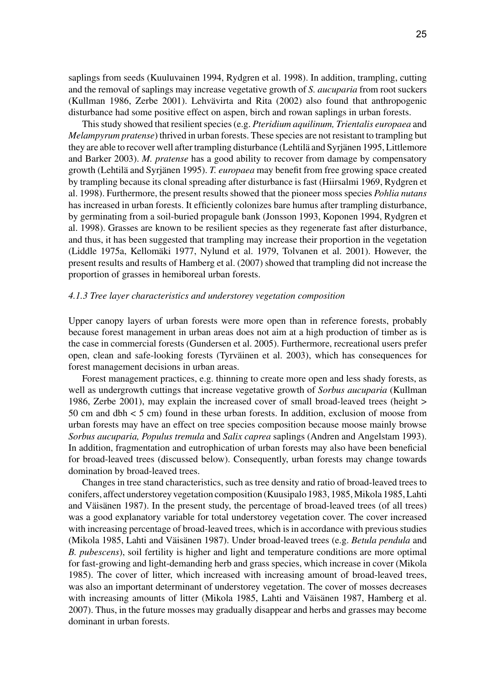saplings from seeds (Kuuluvainen 1994, Rydgren et al. 1998). In addition, trampling, cutting and the removal of saplings may increase vegetative growth of *S. aucuparia* from root suckers (Kullman 1986, Zerbe 2001). Lehvävirta and Rita (2002) also found that anthropogenic disturbance had some positive effect on aspen, birch and rowan saplings in urban forests.

This study showed that resilient species (e.g. *Pteridium aquilinum, Trientalis europaea* and *Melampyrum pratense*) thrived in urban forests. These species are not resistant to trampling but they are able to recover well after trampling disturbance (Lehtilä and Syrjänen 1995, Littlemore and Barker 2003). *M. pratense* has a good ability to recover from damage by compensatory growth (Lehtilä and Syrjänen 1995). *T. europaea* may benefit from free growing space created by trampling because its clonal spreading after disturbance is fast (Hiirsalmi 1969, Rydgren et al. 1998). Furthermore, the present results showed that the pioneer moss species *Pohlia nutans* has increased in urban forests. It efficiently colonizes bare humus after trampling disturbance, by germinating from a soil-buried propagule bank (Jonsson 1993, Koponen 1994, Rydgren et al. 1998). Grasses are known to be resilient species as they regenerate fast after disturbance, and thus, it has been suggested that trampling may increase their proportion in the vegetation (Liddle 1975a, Kellomäki 1977, Nylund et al. 1979, Tolvanen et al. 2001). However, the present results and results of Hamberg et al. (2007) showed that trampling did not increase the proportion of grasses in hemiboreal urban forests.

#### *4.1.3 Tree layer characteristics and understorey vegetation composition*

Upper canopy layers of urban forests were more open than in reference forests, probably because forest management in urban areas does not aim at a high production of timber as is the case in commercial forests (Gundersen et al. 2005). Furthermore, recreational users prefer open, clean and safe-looking forests (Tyrväinen et al. 2003), which has consequences for forest management decisions in urban areas.

Forest management practices, e.g. thinning to create more open and less shady forests, as well as undergrowth cuttings that increase vegetative growth of *Sorbus aucuparia* (Kullman 1986, Zerbe 2001), may explain the increased cover of small broad-leaved trees (height > 50 cm and dbh < 5 cm) found in these urban forests. In addition, exclusion of moose from urban forests may have an effect on tree species composition because moose mainly browse *Sorbus aucuparia, Populus tremula* and *Salix caprea* saplings (Andren and Angelstam 1993). In addition, fragmentation and eutrophication of urban forests may also have been beneficial for broad-leaved trees (discussed below). Consequently, urban forests may change towards domination by broad-leaved trees.

Changes in tree stand characteristics, such as tree density and ratio of broad-leaved trees to conifers, affect understorey vegetation composition (Kuusipalo 1983, 1985, Mikola 1985, Lahti and Väisänen 1987). In the present study, the percentage of broad-leaved trees (of all trees) was a good explanatory variable for total understorey vegetation cover. The cover increased with increasing percentage of broad-leaved trees, which is in accordance with previous studies (Mikola 1985, Lahti and Väisänen 1987). Under broad-leaved trees (e.g. *Betula pendula* and *B. pubescens*), soil fertility is higher and light and temperature conditions are more optimal for fast-growing and light-demanding herb and grass species, which increase in cover (Mikola 1985). The cover of litter, which increased with increasing amount of broad-leaved trees, was also an important determinant of understorey vegetation. The cover of mosses decreases with increasing amounts of litter (Mikola 1985, Lahti and Väisänen 1987, Hamberg et al. 2007). Thus, in the future mosses may gradually disappear and herbs and grasses may become dominant in urban forests.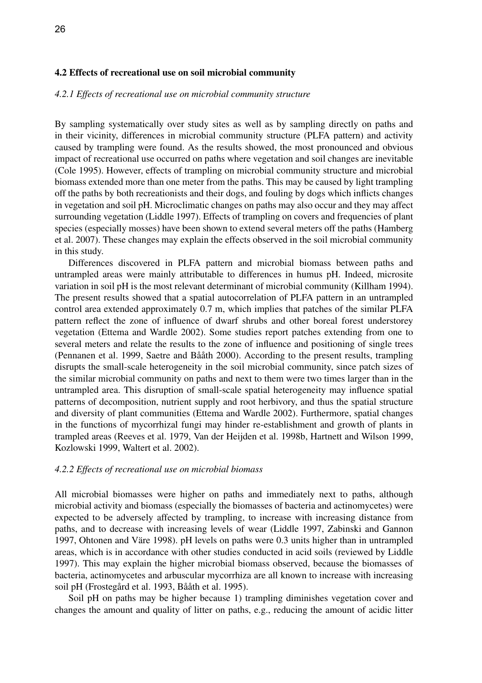### **4.2 Effects of recreational use on soil microbial community**

#### *4.2.1 Effects of recreational use on microbial community structure*

By sampling systematically over study sites as well as by sampling directly on paths and in their vicinity, differences in microbial community structure (PLFA pattern) and activity caused by trampling were found. As the results showed, the most pronounced and obvious impact of recreational use occurred on paths where vegetation and soil changes are inevitable (Cole 1995). However, effects of trampling on microbial community structure and microbial biomass extended more than one meter from the paths. This may be caused by light trampling off the paths by both recreationists and their dogs, and fouling by dogs which inflicts changes in vegetation and soil pH. Microclimatic changes on paths may also occur and they may affect surrounding vegetation (Liddle 1997). Effects of trampling on covers and frequencies of plant species (especially mosses) have been shown to extend several meters off the paths (Hamberg et al. 2007). These changes may explain the effects observed in the soil microbial community in this study.

Differences discovered in PLFA pattern and microbial biomass between paths and untrampled areas were mainly attributable to differences in humus pH. Indeed, microsite variation in soil pH is the most relevant determinant of microbial community (Killham 1994). The present results showed that a spatial autocorrelation of PLFA pattern in an untrampled control area extended approximately 0.7 m, which implies that patches of the similar PLFA pattern reflect the zone of influence of dwarf shrubs and other boreal forest understorey vegetation (Ettema and Wardle 2002). Some studies report patches extending from one to several meters and relate the results to the zone of influence and positioning of single trees (Pennanen et al. 1999, Saetre and Bååth 2000). According to the present results, trampling disrupts the small-scale heterogeneity in the soil microbial community, since patch sizes of the similar microbial community on paths and next to them were two times larger than in the untrampled area. This disruption of small-scale spatial heterogeneity may influence spatial patterns of decomposition, nutrient supply and root herbivory, and thus the spatial structure and diversity of plant communities (Ettema and Wardle 2002). Furthermore, spatial changes in the functions of mycorrhizal fungi may hinder re-establishment and growth of plants in trampled areas (Reeves et al. 1979, Van der Heijden et al. 1998b, Hartnett and Wilson 1999, Kozlowski 1999, Waltert et al. 2002).

#### *4.2.2 Effects of recreational use on microbial biomass*

All microbial biomasses were higher on paths and immediately next to paths, although microbial activity and biomass (especially the biomasses of bacteria and actinomycetes) were expected to be adversely affected by trampling, to increase with increasing distance from paths, and to decrease with increasing levels of wear (Liddle 1997, Zabinski and Gannon 1997, Ohtonen and Väre 1998). pH levels on paths were 0.3 units higher than in untrampled areas, which is in accordance with other studies conducted in acid soils (reviewed by Liddle 1997). This may explain the higher microbial biomass observed, because the biomasses of bacteria, actinomycetes and arbuscular mycorrhiza are all known to increase with increasing soil pH (Frostegård et al. 1993, Bååth et al. 1995).

Soil pH on paths may be higher because 1) trampling diminishes vegetation cover and changes the amount and quality of litter on paths, e.g., reducing the amount of acidic litter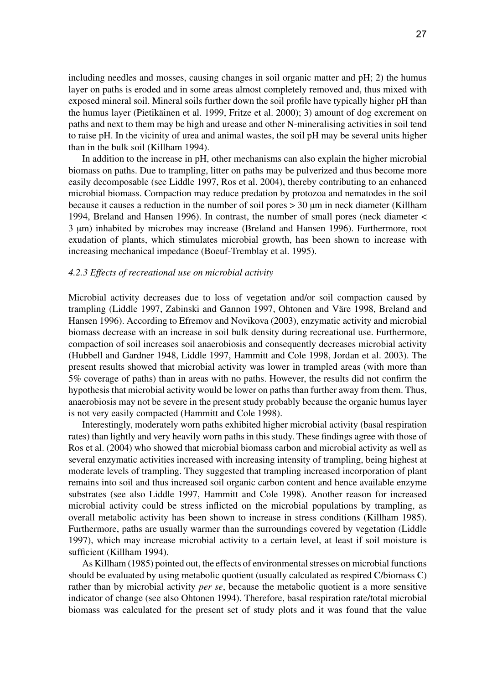including needles and mosses, causing changes in soil organic matter and pH; 2) the humus layer on paths is eroded and in some areas almost completely removed and, thus mixed with exposed mineral soil. Mineral soils further down the soil profile have typically higher pH than the humus layer (Pietikäinen et al. 1999, Fritze et al. 2000); 3) amount of dog excrement on paths and next to them may be high and urease and other N-mineralising activities in soil tend to raise pH. In the vicinity of urea and animal wastes, the soil pH may be several units higher than in the bulk soil (Killham 1994).

In addition to the increase in pH, other mechanisms can also explain the higher microbial biomass on paths. Due to trampling, litter on paths may be pulverized and thus become more easily decomposable (see Liddle 1997, Ros et al. 2004), thereby contributing to an enhanced microbial biomass. Compaction may reduce predation by protozoa and nematodes in the soil because it causes a reduction in the number of soil pores > 30 μm in neck diameter (Killham 1994, Breland and Hansen 1996). In contrast, the number of small pores (neck diameter < 3 μm) inhabited by microbes may increase (Breland and Hansen 1996). Furthermore, root exudation of plants, which stimulates microbial growth, has been shown to increase with increasing mechanical impedance (Boeuf-Tremblay et al. 1995).

#### *4.2.3 Effects of recreational use on microbial activity*

Microbial activity decreases due to loss of vegetation and/or soil compaction caused by trampling (Liddle 1997, Zabinski and Gannon 1997, Ohtonen and Väre 1998, Breland and Hansen 1996). According to Efremov and Novikova (2003), enzymatic activity and microbial biomass decrease with an increase in soil bulk density during recreational use. Furthermore, compaction of soil increases soil anaerobiosis and consequently decreases microbial activity (Hubbell and Gardner 1948, Liddle 1997, Hammitt and Cole 1998, Jordan et al. 2003). The present results showed that microbial activity was lower in trampled areas (with more than 5% coverage of paths) than in areas with no paths. However, the results did not confirm the hypothesis that microbial activity would be lower on paths than further away from them. Thus, anaerobiosis may not be severe in the present study probably because the organic humus layer is not very easily compacted (Hammitt and Cole 1998).

Interestingly, moderately worn paths exhibited higher microbial activity (basal respiration rates) than lightly and very heavily worn paths in this study. These findings agree with those of Ros et al. (2004) who showed that microbial biomass carbon and microbial activity as well as several enzymatic activities increased with increasing intensity of trampling, being highest at moderate levels of trampling. They suggested that trampling increased incorporation of plant remains into soil and thus increased soil organic carbon content and hence available enzyme substrates (see also Liddle 1997, Hammitt and Cole 1998). Another reason for increased microbial activity could be stress inflicted on the microbial populations by trampling, as overall metabolic activity has been shown to increase in stress conditions (Killham 1985). Furthermore, paths are usually warmer than the surroundings covered by vegetation (Liddle 1997), which may increase microbial activity to a certain level, at least if soil moisture is sufficient (Killham 1994).

As Killham (1985) pointed out, the effects of environmental stresses on microbial functions should be evaluated by using metabolic quotient (usually calculated as respired C/biomass C) rather than by microbial activity *per se*, because the metabolic quotient is a more sensitive indicator of change (see also Ohtonen 1994). Therefore, basal respiration rate/total microbial biomass was calculated for the present set of study plots and it was found that the value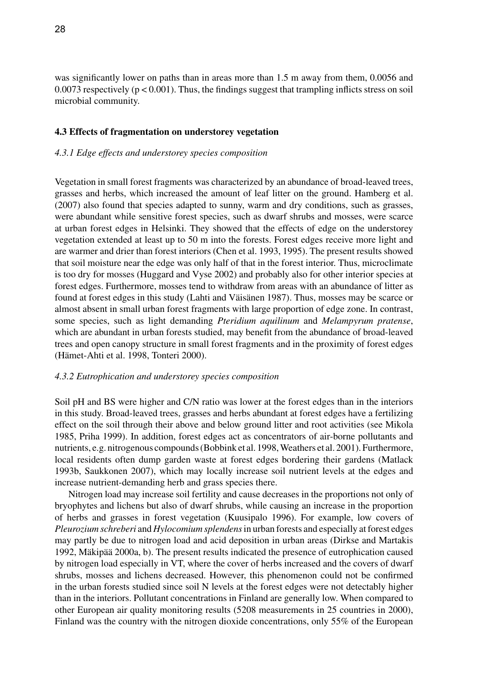was significantly lower on paths than in areas more than 1.5 m away from them, 0.0056 and 0.0073 respectively ( $p < 0.001$ ). Thus, the findings suggest that trampling inflicts stress on soil microbial community.

#### **4.3 Effects of fragmentation on understorey vegetation**

#### *4.3.1 Edge effects and understorey species composition*

Vegetation in small forest fragments was characterized by an abundance of broad-leaved trees, grasses and herbs, which increased the amount of leaf litter on the ground. Hamberg et al. (2007) also found that species adapted to sunny, warm and dry conditions, such as grasses, were abundant while sensitive forest species, such as dwarf shrubs and mosses, were scarce at urban forest edges in Helsinki. They showed that the effects of edge on the understorey vegetation extended at least up to 50 m into the forests. Forest edges receive more light and are warmer and drier than forest interiors (Chen et al. 1993, 1995). The present results showed that soil moisture near the edge was only half of that in the forest interior. Thus, microclimate is too dry for mosses (Huggard and Vyse 2002) and probably also for other interior species at forest edges. Furthermore, mosses tend to withdraw from areas with an abundance of litter as found at forest edges in this study (Lahti and Väisänen 1987). Thus, mosses may be scarce or almost absent in small urban forest fragments with large proportion of edge zone. In contrast, some species, such as light demanding *Pteridium aquilinum* and *Melampyrum pratense*, which are abundant in urban forests studied, may benefit from the abundance of broad-leaved trees and open canopy structure in small forest fragments and in the proximity of forest edges (Hämet-Ahti et al. 1998, Tonteri 2000).

#### *4.3.2 Eutrophication and understorey species composition*

Soil pH and BS were higher and C/N ratio was lower at the forest edges than in the interiors in this study. Broad-leaved trees, grasses and herbs abundant at forest edges have a fertilizing effect on the soil through their above and below ground litter and root activities (see Mikola 1985, Priha 1999). In addition, forest edges act as concentrators of air-borne pollutants and nutrients, e.g. nitrogenous compounds (Bobbink et al. 1998, Weathers et al. 2001). Furthermore, local residents often dump garden waste at forest edges bordering their gardens (Matlack 1993b, Saukkonen 2007), which may locally increase soil nutrient levels at the edges and increase nutrient-demanding herb and grass species there.

Nitrogen load may increase soil fertility and cause decreases in the proportions not only of bryophytes and lichens but also of dwarf shrubs, while causing an increase in the proportion of herbs and grasses in forest vegetation (Kuusipalo 1996). For example, low covers of *Pleurozium schreberi* and *Hylocomium splendens* in urban forests and especially at forest edges may partly be due to nitrogen load and acid deposition in urban areas (Dirkse and Martakis 1992, Mäkipää 2000a, b). The present results indicated the presence of eutrophication caused by nitrogen load especially in VT, where the cover of herbs increased and the covers of dwarf shrubs, mosses and lichens decreased. However, this phenomenon could not be confirmed in the urban forests studied since soil N levels at the forest edges were not detectably higher than in the interiors. Pollutant concentrations in Finland are generally low. When compared to other European air quality monitoring results (5208 measurements in 25 countries in 2000), Finland was the country with the nitrogen dioxide concentrations, only 55% of the European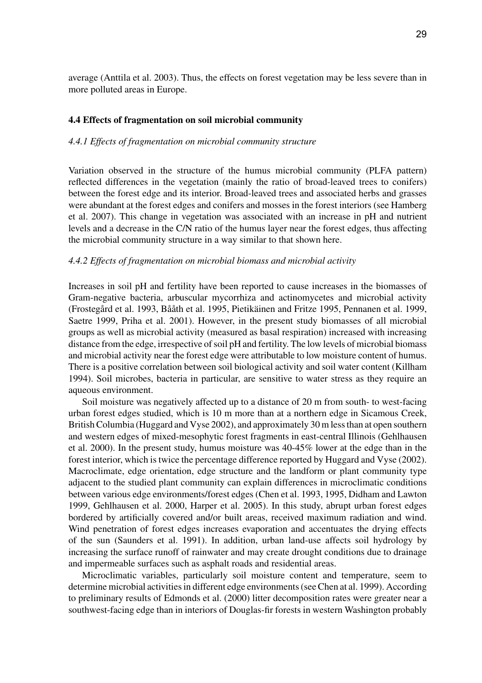average (Anttila et al. 2003). Thus, the effects on forest vegetation may be less severe than in more polluted areas in Europe.

#### **4.4 Effects of fragmentation on soil microbial community**

#### *4.4.1 Effects of fragmentation on microbial community structure*

Variation observed in the structure of the humus microbial community (PLFA pattern) reflected differences in the vegetation (mainly the ratio of broad-leaved trees to conifers) between the forest edge and its interior. Broad-leaved trees and associated herbs and grasses were abundant at the forest edges and conifers and mosses in the forest interiors (see Hamberg et al. 2007). This change in vegetation was associated with an increase in pH and nutrient levels and a decrease in the C/N ratio of the humus layer near the forest edges, thus affecting the microbial community structure in a way similar to that shown here.

#### *4.4.2 Effects of fragmentation on microbial biomass and microbial activity*

Increases in soil pH and fertility have been reported to cause increases in the biomasses of Gram-negative bacteria, arbuscular mycorrhiza and actinomycetes and microbial activity (Frostegård et al. 1993, Bååth et al. 1995, Pietikäinen and Fritze 1995, Pennanen et al. 1999, Saetre 1999, Priha et al. 2001). However, in the present study biomasses of all microbial groups as well as microbial activity (measured as basal respiration) increased with increasing distance from the edge, irrespective of soil pH and fertility. The low levels of microbial biomass and microbial activity near the forest edge were attributable to low moisture content of humus. There is a positive correlation between soil biological activity and soil water content (Killham 1994). Soil microbes, bacteria in particular, are sensitive to water stress as they require an aqueous environment.

Soil moisture was negatively affected up to a distance of 20 m from south- to west-facing urban forest edges studied, which is 10 m more than at a northern edge in Sicamous Creek, British Columbia (Huggard and Vyse 2002), and approximately 30 m less than at open southern and western edges of mixed-mesophytic forest fragments in east-central Illinois (Gehlhausen et al. 2000). In the present study, humus moisture was 40-45% lower at the edge than in the forest interior, which is twice the percentage difference reported by Huggard and Vyse (2002). Macroclimate, edge orientation, edge structure and the landform or plant community type adjacent to the studied plant community can explain differences in microclimatic conditions between various edge environments/forest edges (Chen et al. 1993, 1995, Didham and Lawton 1999, Gehlhausen et al. 2000, Harper et al. 2005). In this study, abrupt urban forest edges bordered by artificially covered and/or built areas, received maximum radiation and wind. Wind penetration of forest edges increases evaporation and accentuates the drying effects of the sun (Saunders et al. 1991). In addition, urban land-use affects soil hydrology by increasing the surface runoff of rainwater and may create drought conditions due to drainage and impermeable surfaces such as asphalt roads and residential areas.

Microclimatic variables, particularly soil moisture content and temperature, seem to determine microbial activities in different edge environments (see Chen at al. 1999). According to preliminary results of Edmonds et al. (2000) litter decomposition rates were greater near a southwest-facing edge than in interiors of Douglas-fir forests in western Washington probably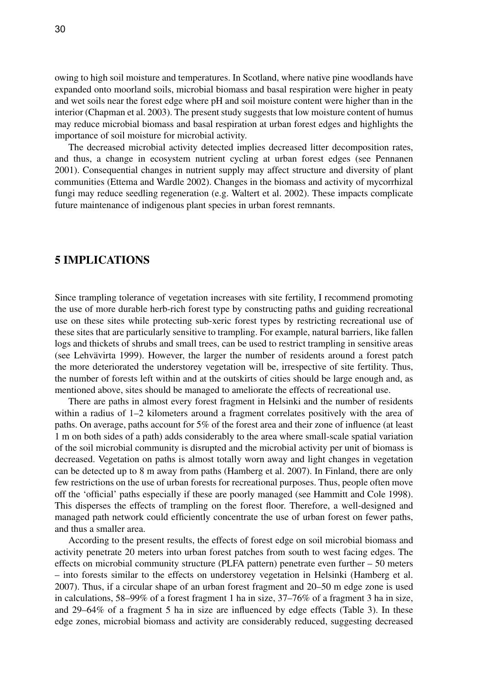owing to high soil moisture and temperatures. In Scotland, where native pine woodlands have expanded onto moorland soils, microbial biomass and basal respiration were higher in peaty and wet soils near the forest edge where pH and soil moisture content were higher than in the interior (Chapman et al. 2003). The present study suggests that low moisture content of humus may reduce microbial biomass and basal respiration at urban forest edges and highlights the importance of soil moisture for microbial activity.

The decreased microbial activity detected implies decreased litter decomposition rates, and thus, a change in ecosystem nutrient cycling at urban forest edges (see Pennanen 2001). Consequential changes in nutrient supply may affect structure and diversity of plant communities (Ettema and Wardle 2002). Changes in the biomass and activity of mycorrhizal fungi may reduce seedling regeneration (e.g. Waltert et al. 2002). These impacts complicate future maintenance of indigenous plant species in urban forest remnants.

# **5 IMPLICATIONS**

Since trampling tolerance of vegetation increases with site fertility, I recommend promoting the use of more durable herb-rich forest type by constructing paths and guiding recreational use on these sites while protecting sub-xeric forest types by restricting recreational use of these sites that are particularly sensitive to trampling. For example, natural barriers, like fallen logs and thickets of shrubs and small trees, can be used to restrict trampling in sensitive areas (see Lehvävirta 1999). However, the larger the number of residents around a forest patch the more deteriorated the understorey vegetation will be, irrespective of site fertility. Thus, the number of forests left within and at the outskirts of cities should be large enough and, as mentioned above, sites should be managed to ameliorate the effects of recreational use.

There are paths in almost every forest fragment in Helsinki and the number of residents within a radius of 1–2 kilometers around a fragment correlates positively with the area of paths. On average, paths account for 5% of the forest area and their zone of influence (at least 1 m on both sides of a path) adds considerably to the area where small-scale spatial variation of the soil microbial community is disrupted and the microbial activity per unit of biomass is decreased. Vegetation on paths is almost totally worn away and light changes in vegetation can be detected up to 8 m away from paths (Hamberg et al. 2007). In Finland, there are only few restrictions on the use of urban forests for recreational purposes. Thus, people often move off the 'official' paths especially if these are poorly managed (see Hammitt and Cole 1998). This disperses the effects of trampling on the forest floor. Therefore, a well-designed and managed path network could efficiently concentrate the use of urban forest on fewer paths, and thus a smaller area.

According to the present results, the effects of forest edge on soil microbial biomass and activity penetrate 20 meters into urban forest patches from south to west facing edges. The effects on microbial community structure (PLFA pattern) penetrate even further – 50 meters – into forests similar to the effects on understorey vegetation in Helsinki (Hamberg et al. 2007). Thus, if a circular shape of an urban forest fragment and 20–50 m edge zone is used in calculations, 58–99% of a forest fragment 1 ha in size, 37–76% of a fragment 3 ha in size, and 29–64% of a fragment 5 ha in size are influenced by edge effects (Table 3). In these edge zones, microbial biomass and activity are considerably reduced, suggesting decreased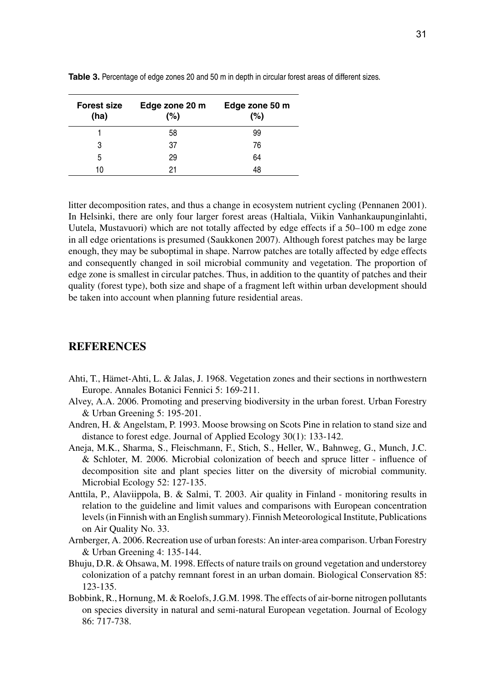| <b>Forest size</b><br>(ha) | Edge zone 20 m<br>(%) | Edge zone 50 m<br>(%) |
|----------------------------|-----------------------|-----------------------|
|                            | 58                    | 99                    |
| 3                          | 37                    | 76                    |
| 5                          | 29                    | 64                    |
| 10                         | 21                    | 48                    |

**Table 3.** Percentage of edge zones 20 and 50 m in depth in circular forest areas of different sizes.

litter decomposition rates, and thus a change in ecosystem nutrient cycling (Pennanen 2001). In Helsinki, there are only four larger forest areas (Haltiala, Viikin Vanhankaupunginlahti, Uutela, Mustavuori) which are not totally affected by edge effects if a 50–100 m edge zone in all edge orientations is presumed (Saukkonen 2007). Although forest patches may be large enough, they may be suboptimal in shape. Narrow patches are totally affected by edge effects and consequently changed in soil microbial community and vegetation. The proportion of edge zone is smallest in circular patches. Thus, in addition to the quantity of patches and their quality (forest type), both size and shape of a fragment left within urban development should be taken into account when planning future residential areas.

# **REFERENCES**

- Ahti, T., Hämet-Ahti, L. & Jalas, J. 1968. Vegetation zones and their sections in northwestern Europe. Annales Botanici Fennici 5: 169-211.
- Alvey, A.A. 2006. Promoting and preserving biodiversity in the urban forest. Urban Forestry & Urban Greening 5: 195-201.
- Andren, H. & Angelstam, P. 1993. Moose browsing on Scots Pine in relation to stand size and distance to forest edge. Journal of Applied Ecology 30(1): 133-142.
- Aneja, M.K., Sharma, S., Fleischmann, F., Stich, S., Heller, W., Bahnweg, G., Munch, J.C. & Schloter, M. 2006. Microbial colonization of beech and spruce litter - influence of decomposition site and plant species litter on the diversity of microbial community. Microbial Ecology 52: 127-135.
- Anttila, P., Alaviippola, B. & Salmi, T. 2003. Air quality in Finland monitoring results in relation to the guideline and limit values and comparisons with European concentration levels (in Finnish with an English summary). Finnish Meteorological Institute, Publications on Air Quality No. 33.
- Arnberger, A. 2006. Recreation use of urban forests: An inter-area comparison. Urban Forestry & Urban Greening 4: 135-144.
- Bhuju, D.R. & Ohsawa, M. 1998. Effects of nature trails on ground vegetation and understorey colonization of a patchy remnant forest in an urban domain. Biological Conservation 85: 123-135.
- Bobbink, R., Hornung, M. & Roelofs, J.G.M. 1998. The effects of air-borne nitrogen pollutants on species diversity in natural and semi-natural European vegetation. Journal of Ecology 86: 717-738.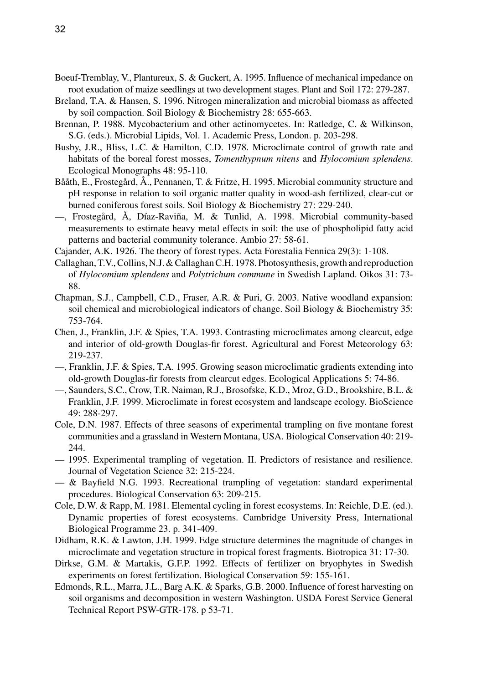- Boeuf-Tremblay, V., Plantureux, S. & Guckert, A. 1995. Influence of mechanical impedance on root exudation of maize seedlings at two development stages. Plant and Soil 172: 279-287.
- Breland, T.A. & Hansen, S. 1996. Nitrogen mineralization and microbial biomass as affected by soil compaction. Soil Biology & Biochemistry 28: 655-663.
- Brennan, P. 1988. Mycobacterium and other actinomycetes. In: Ratledge, C. & Wilkinson, S.G. (eds.). Microbial Lipids, Vol. 1. Academic Press, London. p. 203-298.
- Busby, J.R., Bliss, L.C. & Hamilton, C.D. 1978. Microclimate control of growth rate and habitats of the boreal forest mosses, *Tomenthypnum nitens* and *Hylocomium splendens*. Ecological Monographs 48: 95-110.
- Bååth, E., Frostegård, Å., Pennanen, T. & Fritze, H. 1995. Microbial community structure and pH response in relation to soil organic matter quality in wood-ash fertilized, clear-cut or burned coniferous forest soils. Soil Biology & Biochemistry 27: 229-240.
- —, Frostegård, Å, Díaz-Raviña, M. & Tunlid, A. 1998. Microbial community-based measurements to estimate heavy metal effects in soil: the use of phospholipid fatty acid patterns and bacterial community tolerance. Ambio 27: 58-61.
- Cajander, A.K. 1926. The theory of forest types. Acta Forestalia Fennica 29(3): 1-108.
- Callaghan, T.V., Collins, N.J. & Callaghan C.H. 1978. Photosynthesis, growth and reproduction of *Hylocomium splendens* and *Polytrichum commune* in Swedish Lapland. Oikos 31: 73- 88.
- Chapman, S.J., Campbell, C.D., Fraser, A.R. & Puri, G. 2003. Native woodland expansion: soil chemical and microbiological indicators of change. Soil Biology & Biochemistry 35: 753-764.
- Chen, J., Franklin, J.F. & Spies, T.A. 1993. Contrasting microclimates among clearcut, edge and interior of old-growth Douglas-fir forest. Agricultural and Forest Meteorology 63: 219-237.
- —, Franklin, J.F. & Spies, T.A. 1995. Growing season microclimatic gradients extending into old-growth Douglas-fir forests from clearcut edges. Ecological Applications 5: 74-86.
- —, Saunders, S.C., Crow, T.R. Naiman, R.J., Brosofske, K.D., Mroz, G.D., Brookshire, B.L. & Franklin, J.F. 1999. Microclimate in forest ecosystem and landscape ecology. BioScience 49: 288-297.
- Cole, D.N. 1987. Effects of three seasons of experimental trampling on five montane forest communities and a grassland in Western Montana, USA. Biological Conservation 40: 219- 244.
- 1995. Experimental trampling of vegetation. II. Predictors of resistance and resilience. Journal of Vegetation Science 32: 215-224.
- & Bayfield N.G. 1993. Recreational trampling of vegetation: standard experimental procedures. Biological Conservation 63: 209-215.
- Cole, D.W. & Rapp, M. 1981. Elemental cycling in forest ecosystems. In: Reichle, D.E. (ed.). Dynamic properties of forest ecosystems. Cambridge University Press, International Biological Programme 23. p. 341-409.
- Didham, R.K. & Lawton, J.H. 1999. Edge structure determines the magnitude of changes in microclimate and vegetation structure in tropical forest fragments. Biotropica 31: 17-30.
- Dirkse, G.M. & Martakis, G.F.P. 1992. Effects of fertilizer on bryophytes in Swedish experiments on forest fertilization. Biological Conservation 59: 155-161.
- Edmonds, R.L., Marra, J.L., Barg A.K. & Sparks, G.B. 2000. Influence of forest harvesting on soil organisms and decomposition in western Washington. USDA Forest Service General Technical Report PSW-GTR-178. p 53-71.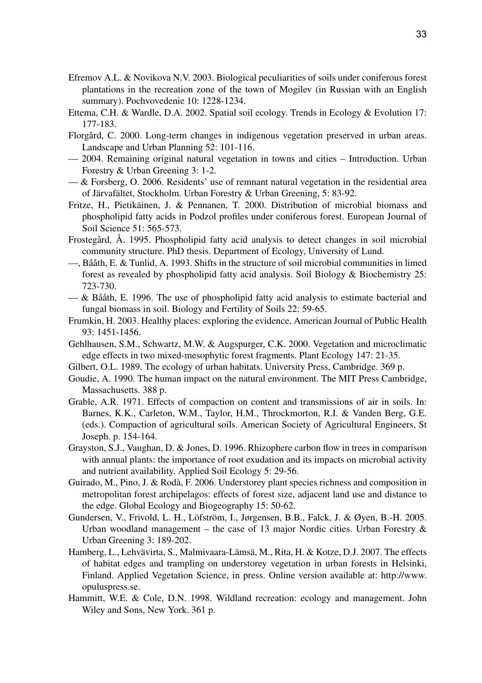- Efremov A.L. & Novikova N.V. 2003. Biological peculiarities of soils under coniferous forest plantations in the recreation zone of the town of Mogilev (in Russian with an English summary). Pochvovedenie 10: 1228-1234.
- Ettema, C.H. & Wardle, D.A. 2002. Spatial soil ecology. Trends in Ecology & Evolution 17: 177-183.
- Florgård, C. 2000. Long-term changes in indigenous vegetation preserved in urban areas. Landscape and Urban Planning 52: 101-116.
- 2004. Remaining original natural vegetation in towns and cities Introduction. Urban Forestry & Urban Greening 3: 1-2.
- & Forsberg, O. 2006. Residents' use of remnant natural vegetation in the residential area of Järvafältet, Stockholm. Urban Forestry & Urban Greening, 5: 83-92.
- Fritze, H., Pietikäinen, J. & Pennanen, T. 2000. Distribution of microbial biomass and phospholipid fatty acids in Podzol profiles under coniferous forest. European Journal of Soil Science 51: 565-573.
- Frostegård, Å. 1995. Phospholipid fatty acid analysis to detect changes in soil microbial community structure. PhD thesis. Department of Ecology, University of Lund.
- —, Bååth, E. & Tunlid, A. 1993. Shifts in the structure of soil microbial communities in limed forest as revealed by phospholipid fatty acid analysis. Soil Biology & Biochemistry 25: 723-730.
- $-\&$  Bååth, E. 1996. The use of phospholipid fatty acid analysis to estimate bacterial and fungal biomass in soil. Biology and Fertility of Soils 22: 59-65.
- Frumkin, H. 2003. Healthy places: exploring the evidence. American Journal of Public Health 93: 1451-1456.
- Gehlhausen, S.M., Schwartz, M.W. & Augspurger, C.K. 2000. Vegetation and microclimatic edge effects in two mixed-mesophytic forest fragments. Plant Ecology 147: 21-35.
- Gilbert, O.L. 1989. The ecology of urban habitats. University Press, Cambridge. 369 p.
- Goudie, A. 1990. The human impact on the natural environment. The MIT Press Cambridge, Massachusetts. 388 p.
- Grable, A.R. 1971. Effects of compaction on content and transmissions of air in soils. In: Barnes, K.K., Carleton, W.M., Taylor, H.M., Throckmorton, R.I. & Vanden Berg, G.E. (eds.). Compaction of agricultural soils. American Society of Agricultural Engineers, St Joseph. p. 154-164.
- Grayston, S.J., Vaughan, D. & Jones, D. 1996. Rhizophere carbon flow in trees in comparison with annual plants: the importance of root exudation and its impacts on microbial activity and nutrient availability. Applied Soil Ecology 5: 29-56.
- Guirado, M., Pino, J. & Rodà, F. 2006. Understorey plant species richness and composition in metropolitan forest archipelagos: effects of forest size, adjacent land use and distance to the edge. Global Ecology and Biogeography 15: 50-62.
- Gundersen, V., Frivold, L. H., Löfström, I., Jørgensen, B.B., Falck, J. & Øyen, B.-H. 2005. Urban woodland management – the case of 13 major Nordic cities. Urban Forestry  $\&$ Urban Greening 3: 189-202.
- Hamberg, L., Lehvävirta, S., Malmivaara-Lämsä, M., Rita, H. & Kotze, D.J. 2007. The effects of habitat edges and trampling on understorey vegetation in urban forests in Helsinki, Finland. Applied Vegetation Science, in press. Online version available at: http://www. opuluspress.se.
- Hammitt, W.E. & Cole, D.N. 1998. Wildland recreation: ecology and management. John Wiley and Sons, New York. 361 p.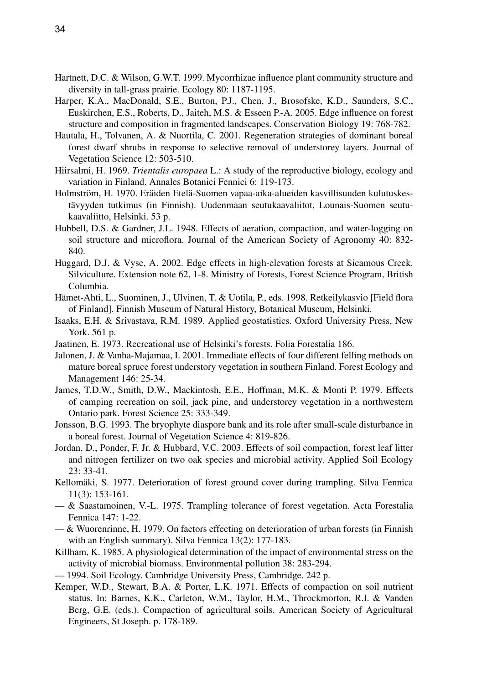- Hartnett, D.C. & Wilson, G.W.T. 1999. Mycorrhizae influence plant community structure and diversity in tall-grass prairie. Ecology 80: 1187-1195.
- Harper, K.A., MacDonald, S.E., Burton, P.J., Chen, J., Brosofske, K.D., Saunders, S.C., Euskirchen, E.S., Roberts, D., Jaiteh, M.S. & Esseen P.-A. 2005. Edge influence on forest structure and composition in fragmented landscapes. Conservation Biology 19: 768-782.
- Hautala, H., Tolvanen, A. & Nuortila, C. 2001. Regeneration strategies of dominant boreal forest dwarf shrubs in response to selective removal of understorey layers. Journal of Vegetation Science 12: 503-510.
- Hiirsalmi, H. 1969. *Trientalis europaea* L.: A study of the reproductive biology, ecology and variation in Finland. Annales Botanici Fennici 6: 119-173.
- Holmström, H. 1970. Eräiden Etelä-Suomen vapaa-aika-alueiden kasvillisuuden kulutuskestävyyden tutkimus (in Finnish). Uudenmaan seutukaavaliitot, Lounais-Suomen seutukaavaliitto, Helsinki. 53 p.
- Hubbell, D.S. & Gardner, J.L. 1948. Effects of aeration, compaction, and water-logging on soil structure and microflora. Journal of the American Society of Agronomy 40: 832- 840.
- Huggard, D.J. & Vyse, A. 2002. Edge effects in high-elevation forests at Sicamous Creek. Silviculture. Extension note 62, 1-8. Ministry of Forests, Forest Science Program, British Columbia.
- Hämet-Ahti, L., Suominen, J., Ulvinen, T. & Uotila, P., eds. 1998. Retkeilykasvio [Field flora of Finland]. Finnish Museum of Natural History, Botanical Museum, Helsinki.
- Isaaks, E.H. & Srivastava, R.M. 1989. Applied geostatistics. Oxford University Press, New York. 561 p.
- Jaatinen, E. 1973. Recreational use of Helsinki's forests. Folia Forestalia 186.
- Jalonen, J. & Vanha-Majamaa, I. 2001. Immediate effects of four different felling methods on mature boreal spruce forest understory vegetation in southern Finland. Forest Ecology and Management 146: 25-34.
- James, T.D.W., Smith, D.W., Mackintosh, E.E., Hoffman, M.K. & Monti P. 1979. Effects of camping recreation on soil, jack pine, and understorey vegetation in a northwestern Ontario park. Forest Science 25: 333-349.
- Jonsson, B.G. 1993. The bryophyte diaspore bank and its role after small-scale disturbance in a boreal forest. Journal of Vegetation Science 4: 819-826.
- Jordan, D., Ponder, F. Jr. & Hubbard, V.C. 2003. Effects of soil compaction, forest leaf litter and nitrogen fertilizer on two oak species and microbial activity. Applied Soil Ecology 23: 33-41.
- Kellomäki, S. 1977. Deterioration of forest ground cover during trampling. Silva Fennica 11(3): 153-161.
- & Saastamoinen, V.-L. 1975. Trampling tolerance of forest vegetation. Acta Forestalia Fennica 147: 1-22.
- & Wuorenrinne, H. 1979. On factors effecting on deterioration of urban forests (in Finnish with an English summary). Silva Fennica 13(2): 177-183.
- Killham, K. 1985. A physiological determination of the impact of environmental stress on the activity of microbial biomass. Environmental pollution 38: 283-294.
- 1994. Soil Ecology. Cambridge University Press, Cambridge. 242 p.
- Kemper, W.D., Stewart, B.A. & Porter, L.K. 1971. Effects of compaction on soil nutrient status. In: Barnes, K.K., Carleton, W.M., Taylor, H.M., Throckmorton, R.I. & Vanden Berg, G.E. (eds.). Compaction of agricultural soils. American Society of Agricultural Engineers, St Joseph. p. 178-189.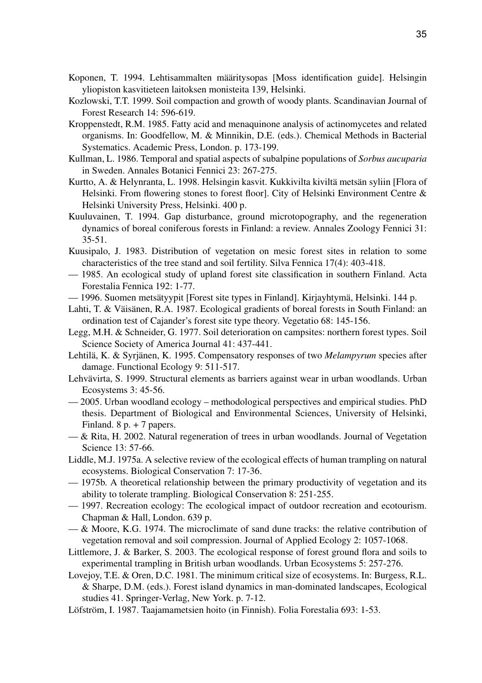- Koponen, T. 1994. Lehtisammalten määritysopas [Moss identification guide]. Helsingin yliopiston kasvitieteen laitoksen monisteita 139, Helsinki.
- Kozlowski, T.T. 1999. Soil compaction and growth of woody plants. Scandinavian Journal of Forest Research 14: 596-619.
- Kroppenstedt, R.M. 1985. Fatty acid and menaquinone analysis of actinomycetes and related organisms. In: Goodfellow, M. & Minnikin, D.E. (eds.). Chemical Methods in Bacterial Systematics. Academic Press, London. p. 173-199.
- Kullman, L. 1986. Temporal and spatial aspects of subalpine populations of *Sorbus aucuparia* in Sweden. Annales Botanici Fennici 23: 267-275.
- Kurtto, A. & Helynranta, L. 1998. Helsingin kasvit. Kukkivilta kiviltä metsän syliin [Flora of Helsinki. From flowering stones to forest floor]. City of Helsinki Environment Centre & Helsinki University Press, Helsinki. 400 p.
- Kuuluvainen, T. 1994. Gap disturbance, ground microtopography, and the regeneration dynamics of boreal coniferous forests in Finland: a review. Annales Zoology Fennici 31: 35-51.
- Kuusipalo, J. 1983. Distribution of vegetation on mesic forest sites in relation to some characteristics of the tree stand and soil fertility. Silva Fennica 17(4): 403-418.
- 1985. An ecological study of upland forest site classification in southern Finland. Acta Forestalia Fennica 192: 1-77.
- 1996. Suomen metsätyypit [Forest site types in Finland]. Kirjayhtymä, Helsinki. 144 p.
- Lahti, T. & Väisänen, R.A. 1987. Ecological gradients of boreal forests in South Finland: an ordination test of Cajander's forest site type theory. Vegetatio 68: 145-156.
- Legg, M.H. & Schneider, G. 1977. Soil deterioration on campsites: northern forest types. Soil Science Society of America Journal 41: 437-441.
- Lehtilä, K. & Syrjänen, K. 1995. Compensatory responses of two *Melampyrum* species after damage. Functional Ecology 9: 511-517.
- Lehvävirta, S. 1999. Structural elements as barriers against wear in urban woodlands. Urban Ecosystems 3: 45-56.
- 2005. Urban woodland ecology methodological perspectives and empirical studies. PhD thesis. Department of Biological and Environmental Sciences, University of Helsinki, Finland. 8 p. + 7 papers.
- $-\&$  Rita, H. 2002. Natural regeneration of trees in urban woodlands. Journal of Vegetation Science 13: 57-66.
- Liddle, M.J. 1975a. A selective review of the ecological effects of human trampling on natural ecosystems. Biological Conservation 7: 17-36.
- 1975b. A theoretical relationship between the primary productivity of vegetation and its ability to tolerate trampling. Biological Conservation 8: 251-255.
- 1997. Recreation ecology: The ecological impact of outdoor recreation and ecotourism. Chapman & Hall, London. 639 p.
- & Moore, K.G. 1974. The microclimate of sand dune tracks: the relative contribution of vegetation removal and soil compression. Journal of Applied Ecology 2: 1057-1068.
- Littlemore, J. & Barker, S. 2003. The ecological response of forest ground flora and soils to experimental trampling in British urban woodlands. Urban Ecosystems 5: 257-276.
- Lovejoy, T.E. & Oren, D.C. 1981. The minimum critical size of ecosystems. In: Burgess, R.L. & Sharpe, D.M. (eds.). Forest island dynamics in man-dominated landscapes, Ecological studies 41. Springer-Verlag, New York. p. 7-12.
- Löfström, I. 1987. Taajamametsien hoito (in Finnish). Folia Forestalia 693: 1-53.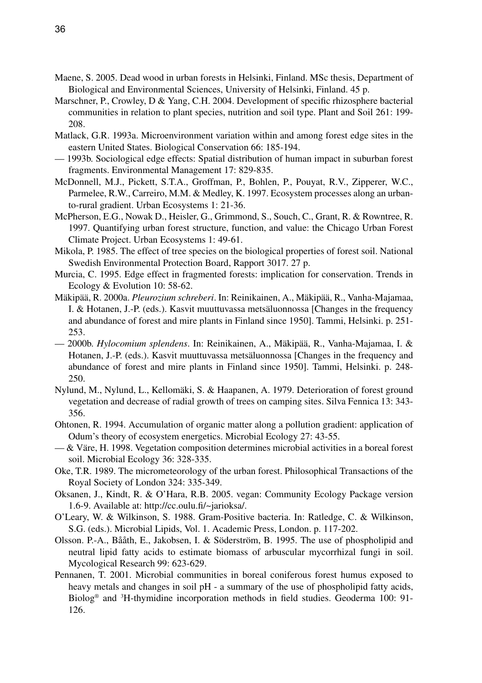- Maene, S. 2005. Dead wood in urban forests in Helsinki, Finland. MSc thesis, Department of Biological and Environmental Sciences, University of Helsinki, Finland. 45 p.
- Marschner, P., Crowley, D & Yang, C.H. 2004. Development of specific rhizosphere bacterial communities in relation to plant species, nutrition and soil type. Plant and Soil 261: 199- 208.
- Matlack, G.R. 1993a. Microenvironment variation within and among forest edge sites in the eastern United States. Biological Conservation 66: 185-194.
- 1993b. Sociological edge effects: Spatial distribution of human impact in suburban forest fragments. Environmental Management 17: 829-835.
- McDonnell, M.J., Pickett, S.T.A., Groffman, P., Bohlen, P., Pouyat, R.V., Zipperer, W.C., Parmelee, R.W., Carreiro, M.M. & Medley, K. 1997. Ecosystem processes along an urbanto-rural gradient. Urban Ecosystems 1: 21-36.
- McPherson, E.G., Nowak D., Heisler, G., Grimmond, S., Souch, C., Grant, R. & Rowntree, R. 1997. Quantifying urban forest structure, function, and value: the Chicago Urban Forest Climate Project. Urban Ecosystems 1: 49-61.
- Mikola, P. 1985. The effect of tree species on the biological properties of forest soil. National Swedish Environmental Protection Board, Rapport 3017. 27 p.
- Murcia, C. 1995. Edge effect in fragmented forests: implication for conservation. Trends in Ecology & Evolution 10: 58-62.
- Mäkipää, R. 2000a. *Pleurozium schreberi*. In: Reinikainen, A., Mäkipää, R., Vanha-Majamaa, I. & Hotanen, J.-P. (eds.). Kasvit muuttuvassa metsäluonnossa [Changes in the frequency and abundance of forest and mire plants in Finland since 1950]. Tammi, Helsinki. p. 251- 253.
- 2000b. *Hylocomium splendens*. In: Reinikainen, A., Mäkipää, R., Vanha-Majamaa, I. & Hotanen, J.-P. (eds.). Kasvit muuttuvassa metsäluonnossa [Changes in the frequency and abundance of forest and mire plants in Finland since 1950]. Tammi, Helsinki. p. 248- 250.
- Nylund, M., Nylund, L., Kellomäki, S. & Haapanen, A. 1979. Deterioration of forest ground vegetation and decrease of radial growth of trees on camping sites. Silva Fennica 13: 343- 356.
- Ohtonen, R. 1994. Accumulation of organic matter along a pollution gradient: application of Odum's theory of ecosystem energetics. Microbial Ecology 27: 43-55.
- & Väre, H. 1998. Vegetation composition determines microbial activities in a boreal forest soil. Microbial Ecology 36: 328-335.
- Oke, T.R. 1989. The micrometeorology of the urban forest. Philosophical Transactions of the Royal Society of London 324: 335-349.
- Oksanen, J., Kindt, R. & O'Hara, R.B. 2005. vegan: Community Ecology Package version 1.6-9. Available at: http://cc.oulu.fi/~jarioksa/.
- O'Leary, W. & Wilkinson, S. 1988. Gram-Positive bacteria. In: Ratledge, C. & Wilkinson, S.G. (eds.). Microbial Lipids, Vol. 1. Academic Press, London. p. 117-202.
- Olsson. P.-A., Bååth, E., Jakobsen, I. & Söderström, B. 1995. The use of phospholipid and neutral lipid fatty acids to estimate biomass of arbuscular mycorrhizal fungi in soil. Mycological Research 99: 623-629.
- Pennanen, T. 2001. Microbial communities in boreal coniferous forest humus exposed to heavy metals and changes in soil pH - a summary of the use of phospholipid fatty acids, Biolog® and 3 H-thymidine incorporation methods in field studies. Geoderma 100: 91- 126.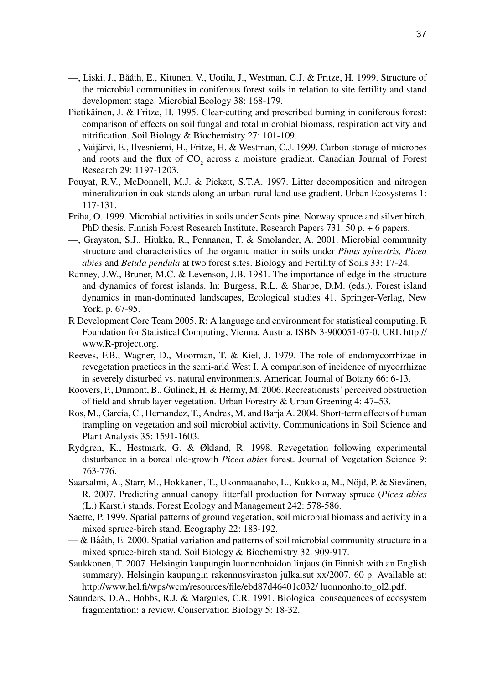- —, Liski, J., Bååth, E., Kitunen, V., Uotila, J., Westman, C.J. & Fritze, H. 1999. Structure of the microbial communities in coniferous forest soils in relation to site fertility and stand development stage. Microbial Ecology 38: 168-179.
- Pietikäinen, J. & Fritze, H. 1995. Clear-cutting and prescribed burning in coniferous forest: comparison of effects on soil fungal and total microbial biomass, respiration activity and nitrification. Soil Biology & Biochemistry 27: 101-109.
- —, Vaijärvi, E., Ilvesniemi, H., Fritze, H. & Westman, C.J. 1999. Carbon storage of microbes and roots and the flux of  $CO<sub>2</sub>$  across a moisture gradient. Canadian Journal of Forest Research 29: 1197-1203.
- Pouyat, R.V., McDonnell, M.J. & Pickett, S.T.A. 1997. Litter decomposition and nitrogen mineralization in oak stands along an urban-rural land use gradient. Urban Ecosystems 1: 117-131.
- Priha, O. 1999. Microbial activities in soils under Scots pine, Norway spruce and silver birch. PhD thesis. Finnish Forest Research Institute, Research Papers 731. 50 p. + 6 papers.
- —, Grayston, S.J., Hiukka, R., Pennanen, T. & Smolander, A. 2001. Microbial community structure and characteristics of the organic matter in soils under *Pinus sylvestris, Picea abies* and *Betula pendula* at two forest sites. Biology and Fertility of Soils 33: 17-24.
- Ranney, J.W., Bruner, M.C. & Levenson, J.B. 1981. The importance of edge in the structure and dynamics of forest islands. In: Burgess, R.L. & Sharpe, D.M. (eds.). Forest island dynamics in man-dominated landscapes, Ecological studies 41. Springer-Verlag, New York. p. 67-95.
- R Development Core Team 2005. R: A language and environment for statistical computing. R Foundation for Statistical Computing, Vienna, Austria. ISBN 3-900051-07-0, URL http:// www.R-project.org.
- Reeves, F.B., Wagner, D., Moorman, T. & Kiel, J. 1979. The role of endomycorrhizae in revegetation practices in the semi-arid West I. A comparison of incidence of mycorrhizae in severely disturbed vs. natural environments. American Journal of Botany 66: 6-13.
- Roovers, P., Dumont, B., Gulinck, H. & Hermy, M. 2006. Recreationists' perceived obstruction of field and shrub layer vegetation. Urban Forestry & Urban Greening 4: 47–53.
- Ros, M., Garcia, C., Hernandez, T., Andres, M. and Barja A. 2004. Short-term effects of human trampling on vegetation and soil microbial activity. Communications in Soil Science and Plant Analysis 35: 1591-1603.
- Rydgren, K., Hestmark, G. & Økland, R. 1998. Revegetation following experimental disturbance in a boreal old-growth *Picea abies* forest. Journal of Vegetation Science 9: 763-776.
- Saarsalmi, A., Starr, M., Hokkanen, T., Ukonmaanaho, L., Kukkola, M., Nöjd, P. & Sievänen, R. 2007. Predicting annual canopy litterfall production for Norway spruce (*Picea abies* (L.) Karst.) stands. Forest Ecology and Management 242: 578-586.
- Saetre, P. 1999. Spatial patterns of ground vegetation, soil microbial biomass and activity in a mixed spruce-birch stand. Ecography 22: 183-192.
- & Bååth, E. 2000. Spatial variation and patterns of soil microbial community structure in a mixed spruce-birch stand. Soil Biology & Biochemistry 32: 909-917.
- Saukkonen, T. 2007. Helsingin kaupungin luonnonhoidon linjaus (in Finnish with an English summary). Helsingin kaupungin rakennusviraston julkaisut xx/2007. 60 p. Available at: http://www.hel.fi/wps/wcm/resources/file/ebd87d46401c032/ luonnonhoito\_ol2.pdf.
- Saunders, D.A., Hobbs, R.J. & Margules, C.R. 1991. Biological consequences of ecosystem fragmentation: a review. Conservation Biology 5: 18-32.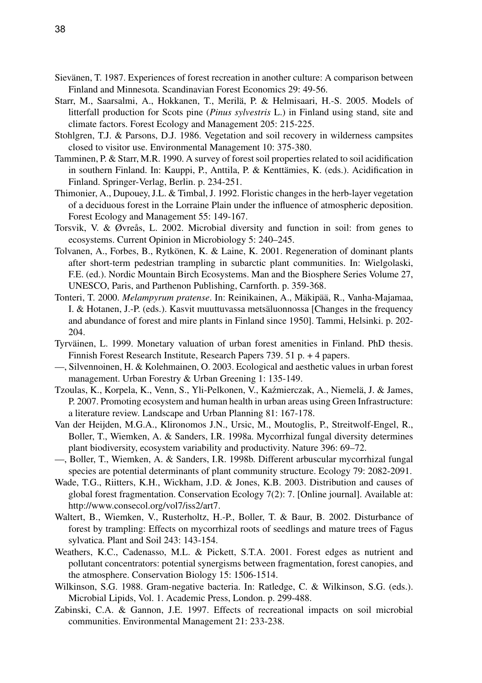- Sievänen, T. 1987. Experiences of forest recreation in another culture: A comparison between Finland and Minnesota. Scandinavian Forest Economics 29: 49-56.
- Starr, M., Saarsalmi, A., Hokkanen, T., Merilä, P. & Helmisaari, H.-S. 2005. Models of litterfall production for Scots pine (*Pinus sylvestris* L.) in Finland using stand, site and climate factors. Forest Ecology and Management 205: 215-225.
- Stohlgren, T.J. & Parsons, D.J. 1986. Vegetation and soil recovery in wilderness campsites closed to visitor use. Environmental Management 10: 375-380.
- Tamminen, P. & Starr, M.R. 1990. A survey of forest soil properties related to soil acidification in southern Finland. In: Kauppi, P., Anttila, P. & Kenttämies, K. (eds.). Acidification in Finland. Springer-Verlag, Berlin. p. 234-251.
- Thimonier, A., Dupouey, J.L. & Timbal, J. 1992. Floristic changes in the herb-layer vegetation of a deciduous forest in the Lorraine Plain under the influence of atmospheric deposition. Forest Ecology and Management 55: 149-167.
- Torsvik, V. & Øvreås, L. 2002. Microbial diversity and function in soil: from genes to ecosystems. Current Opinion in Microbiology 5: 240–245.
- Tolvanen, A., Forbes, B., Rytkönen, K. & Laine, K. 2001. Regeneration of dominant plants after short-term pedestrian trampling in subarctic plant communities. In: Wielgolaski, F.E. (ed.). Nordic Mountain Birch Ecosystems. Man and the Biosphere Series Volume 27, UNESCO, Paris, and Parthenon Publishing, Carnforth. p. 359-368.
- Tonteri, T. 2000. *Melampyrum pratense*. In: Reinikainen, A., Mäkipää, R., Vanha-Majamaa, I. & Hotanen, J.-P. (eds.). Kasvit muuttuvassa metsäluonnossa [Changes in the frequency and abundance of forest and mire plants in Finland since 1950]. Tammi, Helsinki. p. 202- 204.
- Tyrväinen, L. 1999. Monetary valuation of urban forest amenities in Finland. PhD thesis. Finnish Forest Research Institute, Research Papers 739. 51 p. + 4 papers.
- —, Silvennoinen, H. & Kolehmainen, O. 2003. Ecological and aesthetic values in urban forest management. Urban Forestry & Urban Greening 1: 135-149.
- Tzoulas, K., Korpela, K., Venn, S., Yli-Pelkonen, V., Kaźmierczak, A., Niemelä, J. & James, P. 2007. Promoting ecosystem and human health in urban areas using Green Infrastructure: a literature review. Landscape and Urban Planning 81: 167-178.
- Van der Heijden, M.G.A., Klironomos J.N., Ursic, M., Moutoglis, P., Streitwolf-Engel, R., Boller, T., Wiemken, A. & Sanders, I.R. 1998a. Mycorrhizal fungal diversity determines plant biodiversity, ecosystem variability and productivity. Nature 396: 69–72.
- —, Boller, T., Wiemken, A. & Sanders, I.R. 1998b. Different arbuscular mycorrhizal fungal species are potential determinants of plant community structure. Ecology 79: 2082-2091.
- Wade, T.G., Riitters, K.H., Wickham, J.D. & Jones, K.B. 2003. Distribution and causes of global forest fragmentation. Conservation Ecology 7(2): 7. [Online journal]. Available at: http://www.consecol.org/vol7/iss2/art7.
- Waltert, B., Wiemken, V., Rusterholtz, H.-P., Boller, T. & Baur, B. 2002. Disturbance of forest by trampling: Effects on mycorrhizal roots of seedlings and mature trees of Fagus sylvatica. Plant and Soil 243: 143-154.
- Weathers, K.C., Cadenasso, M.L. & Pickett, S.T.A. 2001. Forest edges as nutrient and pollutant concentrators: potential synergisms between fragmentation, forest canopies, and the atmosphere. Conservation Biology 15: 1506-1514.
- Wilkinson, S.G. 1988. Gram-negative bacteria. In: Ratledge, C. & Wilkinson, S.G. (eds.). Microbial Lipids, Vol. 1. Academic Press, London. p. 299-488.
- Zabinski, C.A. & Gannon, J.E. 1997. Effects of recreational impacts on soil microbial communities. Environmental Management 21: 233-238.